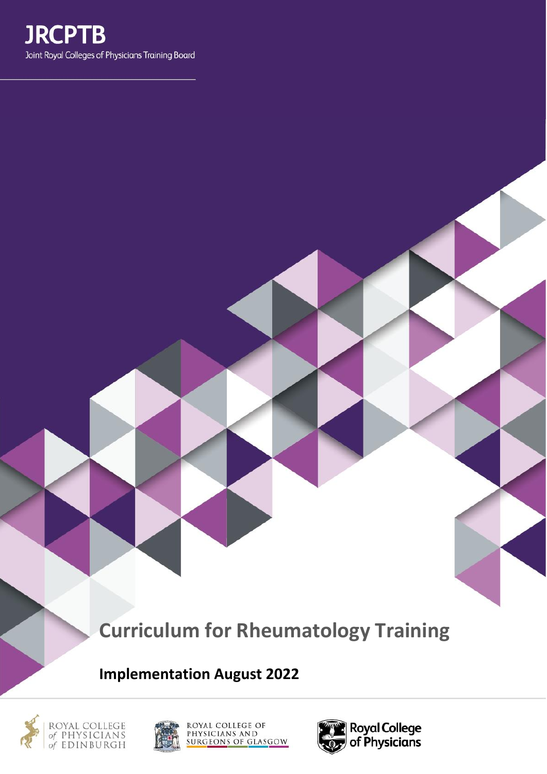

# **Curriculum for Rheumatology Training**

**Implementation August 2022**







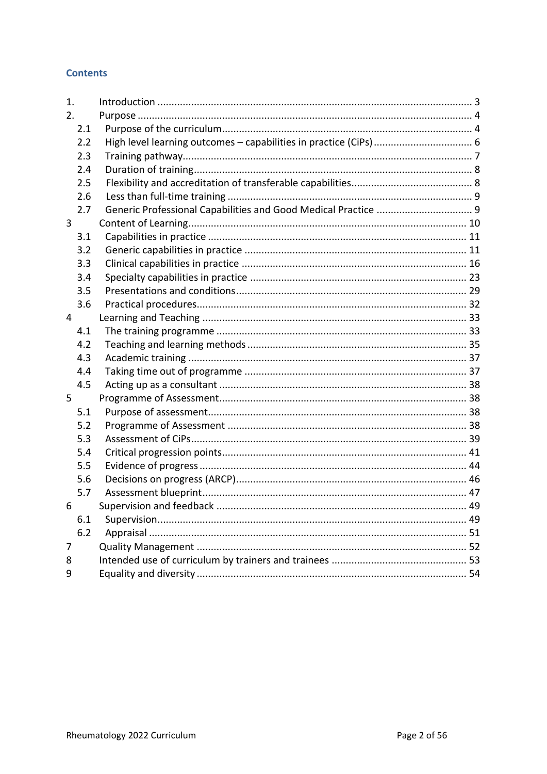## **Contents**

| 1.  |                          |  |
|-----|--------------------------|--|
| 2.  |                          |  |
| 2.1 |                          |  |
| 2.2 |                          |  |
| 2.3 |                          |  |
| 2.4 |                          |  |
| 2.5 |                          |  |
| 2.6 |                          |  |
| 2.7 |                          |  |
| 3   |                          |  |
| 3.1 |                          |  |
| 3.2 |                          |  |
| 3.3 |                          |  |
| 3.4 |                          |  |
| 3.5 |                          |  |
| 3.6 |                          |  |
| 4   |                          |  |
| 4.1 |                          |  |
| 4.2 |                          |  |
| 4.3 |                          |  |
| 4.4 |                          |  |
| 4.5 |                          |  |
| 5   |                          |  |
| 5.1 |                          |  |
| 5.2 |                          |  |
| 5.3 |                          |  |
| 5.4 |                          |  |
| 5.5 |                          |  |
| 5.6 |                          |  |
| 5.7 |                          |  |
| 6   | Supervision and feedback |  |
| 6.1 |                          |  |
| 6.2 |                          |  |
| 7   |                          |  |
| 8   |                          |  |
| 9   |                          |  |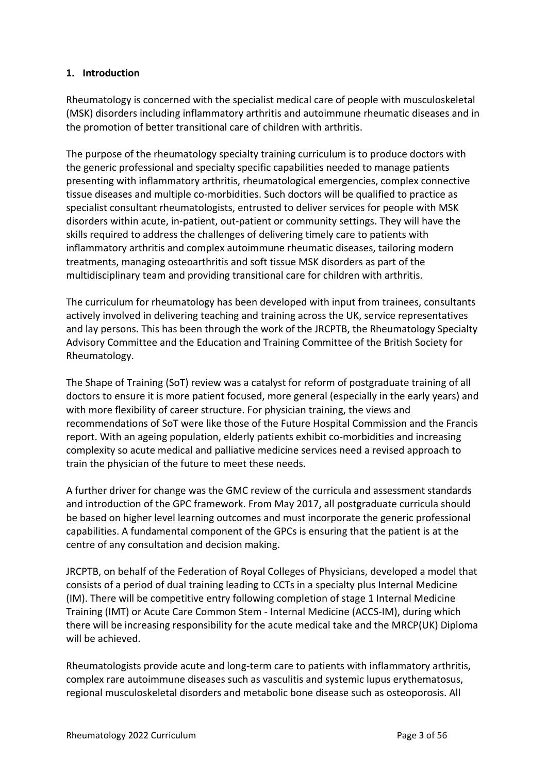## <span id="page-2-0"></span>**1. Introduction**

Rheumatology is concerned with the specialist medical care of people with musculoskeletal (MSK) disorders including inflammatory arthritis and autoimmune rheumatic diseases and in the promotion of better transitional care of children with arthritis.

The purpose of the rheumatology specialty training curriculum is to produce doctors with the generic professional and specialty specific capabilities needed to manage patients presenting with inflammatory arthritis, rheumatological emergencies, complex connective tissue diseases and multiple co-morbidities. Such doctors will be qualified to practice as specialist consultant rheumatologists, entrusted to deliver services for people with MSK disorders within acute, in-patient, out-patient or community settings. They will have the skills required to address the challenges of delivering timely care to patients with inflammatory arthritis and complex autoimmune rheumatic diseases, tailoring modern treatments, managing osteoarthritis and soft tissue MSK disorders as part of the multidisciplinary team and providing transitional care for children with arthritis.

The curriculum for rheumatology has been developed with input from trainees, consultants actively involved in delivering teaching and training across the UK, service representatives and lay persons. This has been through the work of the JRCPTB, the Rheumatology Specialty Advisory Committee and the Education and Training Committee of the British Society for Rheumatology.

The Shape of Training (SoT) review was a catalyst for reform of postgraduate training of all doctors to ensure it is more patient focused, more general (especially in the early years) and with more flexibility of career structure. For physician training, the views and recommendations of SoT were like those of the Future Hospital Commission and the Francis report. With an ageing population, elderly patients exhibit co-morbidities and increasing complexity so acute medical and palliative medicine services need a revised approach to train the physician of the future to meet these needs.

A further driver for change was the GMC review of the curricula and assessment standards and introduction of the GPC framework. From May 2017, all postgraduate curricula should be based on higher level learning outcomes and must incorporate the generic professional capabilities. A fundamental component of the GPCs is ensuring that the patient is at the centre of any consultation and decision making.

JRCPTB, on behalf of the Federation of Royal Colleges of Physicians, developed a model that consists of a period of dual training leading to CCTs in a specialty plus Internal Medicine (IM). There will be competitive entry following completion of stage 1 Internal Medicine Training (IMT) or Acute Care Common Stem - Internal Medicine (ACCS-IM), during which there will be increasing responsibility for the acute medical take and the MRCP(UK) Diploma will be achieved.

Rheumatologists provide acute and long-term care to patients with inflammatory arthritis, complex rare autoimmune diseases such as vasculitis and systemic lupus erythematosus, regional musculoskeletal disorders and metabolic bone disease such as osteoporosis. All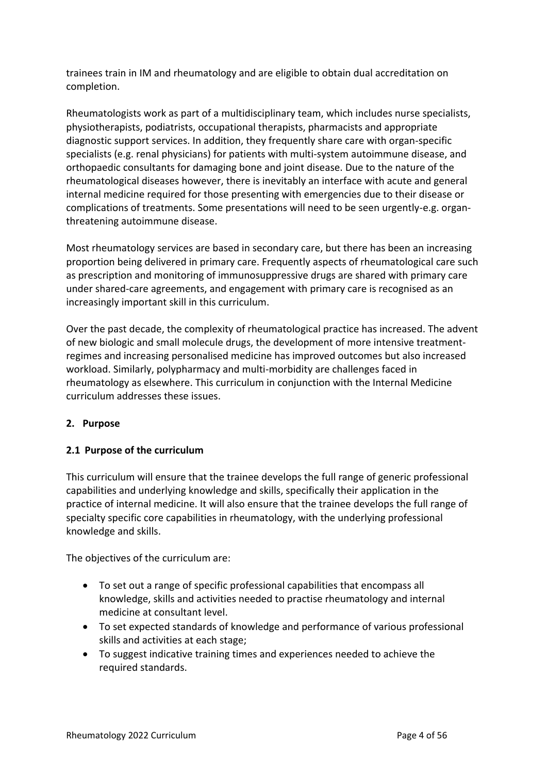trainees train in IM and rheumatology and are eligible to obtain dual accreditation on completion.

Rheumatologists work as part of a multidisciplinary team, which includes nurse specialists, physiotherapists, podiatrists, occupational therapists, pharmacists and appropriate diagnostic support services. In addition, they frequently share care with organ-specific specialists (e.g. renal physicians) for patients with multi-system autoimmune disease, and orthopaedic consultants for damaging bone and joint disease. Due to the nature of the rheumatological diseases however, there is inevitably an interface with acute and general internal medicine required for those presenting with emergencies due to their disease or complications of treatments. Some presentations will need to be seen urgently-e.g. organthreatening autoimmune disease.

Most rheumatology services are based in secondary care, but there has been an increasing proportion being delivered in primary care. Frequently aspects of rheumatological care such as prescription and monitoring of immunosuppressive drugs are shared with primary care under shared-care agreements, and engagement with primary care is recognised as an increasingly important skill in this curriculum.

Over the past decade, the complexity of rheumatological practice has increased. The advent of new biologic and small molecule drugs, the development of more intensive treatmentregimes and increasing personalised medicine has improved outcomes but also increased workload. Similarly, polypharmacy and multi-morbidity are challenges faced in rheumatology as elsewhere. This curriculum in conjunction with the Internal Medicine curriculum addresses these issues.

## <span id="page-3-0"></span>**2. Purpose**

## <span id="page-3-1"></span>**2.1 Purpose of the curriculum**

This curriculum will ensure that the trainee develops the full range of generic professional capabilities and underlying knowledge and skills, specifically their application in the practice of internal medicine. It will also ensure that the trainee develops the full range of specialty specific core capabilities in rheumatology, with the underlying professional knowledge and skills.

The objectives of the curriculum are:

- To set out a range of specific professional capabilities that encompass all knowledge, skills and activities needed to practise rheumatology and internal medicine at consultant level.
- To set expected standards of knowledge and performance of various professional skills and activities at each stage;
- To suggest indicative training times and experiences needed to achieve the required standards.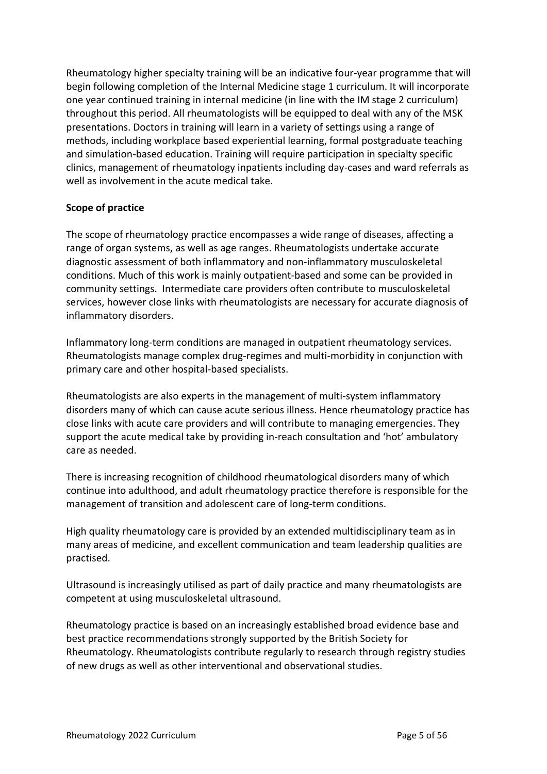Rheumatology higher specialty training will be an indicative four-year programme that will begin following completion of the Internal Medicine stage 1 curriculum. It will incorporate one year continued training in internal medicine (in line with the IM stage 2 curriculum) throughout this period. All rheumatologists will be equipped to deal with any of the MSK presentations. Doctors in training will learn in a variety of settings using a range of methods, including workplace based experiential learning, formal postgraduate teaching and simulation-based education. Training will require participation in specialty specific clinics, management of rheumatology inpatients including day-cases and ward referrals as well as involvement in the acute medical take.

## **Scope of practice**

The scope of rheumatology practice encompasses a wide range of diseases, affecting a range of organ systems, as well as age ranges. Rheumatologists undertake accurate diagnostic assessment of both inflammatory and non-inflammatory musculoskeletal conditions. Much of this work is mainly outpatient-based and some can be provided in community settings. Intermediate care providers often contribute to musculoskeletal services, however close links with rheumatologists are necessary for accurate diagnosis of inflammatory disorders.

Inflammatory long-term conditions are managed in outpatient rheumatology services. Rheumatologists manage complex drug-regimes and multi-morbidity in conjunction with primary care and other hospital-based specialists.

Rheumatologists are also experts in the management of multi-system inflammatory disorders many of which can cause acute serious illness. Hence rheumatology practice has close links with acute care providers and will contribute to managing emergencies. They support the acute medical take by providing in-reach consultation and 'hot' ambulatory care as needed.

There is increasing recognition of childhood rheumatological disorders many of which continue into adulthood, and adult rheumatology practice therefore is responsible for the management of transition and adolescent care of long-term conditions.

High quality rheumatology care is provided by an extended multidisciplinary team as in many areas of medicine, and excellent communication and team leadership qualities are practised.

Ultrasound is increasingly utilised as part of daily practice and many rheumatologists are competent at using musculoskeletal ultrasound.

Rheumatology practice is based on an increasingly established broad evidence base and best practice recommendations strongly supported by the British Society for Rheumatology. Rheumatologists contribute regularly to research through registry studies of new drugs as well as other interventional and observational studies.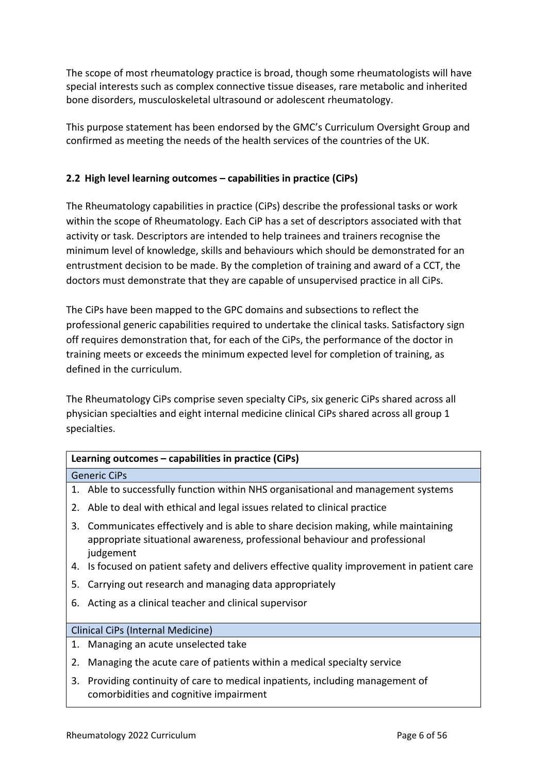The scope of most rheumatology practice is broad, though some rheumatologists will have special interests such as complex connective tissue diseases, rare metabolic and inherited bone disorders, musculoskeletal ultrasound or adolescent rheumatology.

This purpose statement has been endorsed by the GMC's Curriculum Oversight Group and confirmed as meeting the needs of the health services of the countries of the UK.

# <span id="page-5-0"></span>**2.2 High level learning outcomes – capabilities in practice (CiPs)**

The Rheumatology capabilities in practice (CiPs) describe the professional tasks or work within the scope of Rheumatology. Each CiP has a set of descriptors associated with that activity or task. Descriptors are intended to help trainees and trainers recognise the minimum level of knowledge, skills and behaviours which should be demonstrated for an entrustment decision to be made. By the completion of training and award of a CCT, the doctors must demonstrate that they are capable of unsupervised practice in all CiPs.

The CiPs have been mapped to the GPC domains and subsections to reflect the professional generic capabilities required to undertake the clinical tasks. Satisfactory sign off requires demonstration that, for each of the CiPs, the performance of the doctor in training meets or exceeds the minimum expected level for completion of training, as defined in the curriculum.

The Rheumatology CiPs comprise seven specialty CiPs, six generic CiPs shared across all physician specialties and eight internal medicine clinical CiPs shared across all group 1 specialties.

| Learning outcomes – capabilities in practice (CiPs) |                                                                                                                                                                             |  |  |
|-----------------------------------------------------|-----------------------------------------------------------------------------------------------------------------------------------------------------------------------------|--|--|
|                                                     | <b>Generic CiPs</b>                                                                                                                                                         |  |  |
|                                                     | 1. Able to successfully function within NHS organisational and management systems                                                                                           |  |  |
| 2.                                                  | Able to deal with ethical and legal issues related to clinical practice                                                                                                     |  |  |
| 3.                                                  | Communicates effectively and is able to share decision making, while maintaining<br>appropriate situational awareness, professional behaviour and professional<br>judgement |  |  |
| 4.                                                  | Is focused on patient safety and delivers effective quality improvement in patient care                                                                                     |  |  |
| 5.                                                  | Carrying out research and managing data appropriately                                                                                                                       |  |  |
| 6.                                                  | Acting as a clinical teacher and clinical supervisor                                                                                                                        |  |  |
|                                                     |                                                                                                                                                                             |  |  |
| Clinical CiPs (Internal Medicine)                   |                                                                                                                                                                             |  |  |
|                                                     | 1. Managing an acute unselected take                                                                                                                                        |  |  |
| 2.                                                  | Managing the acute care of patients within a medical specialty service                                                                                                      |  |  |
| 3.                                                  | Providing continuity of care to medical inpatients, including management of<br>comorbidities and cognitive impairment                                                       |  |  |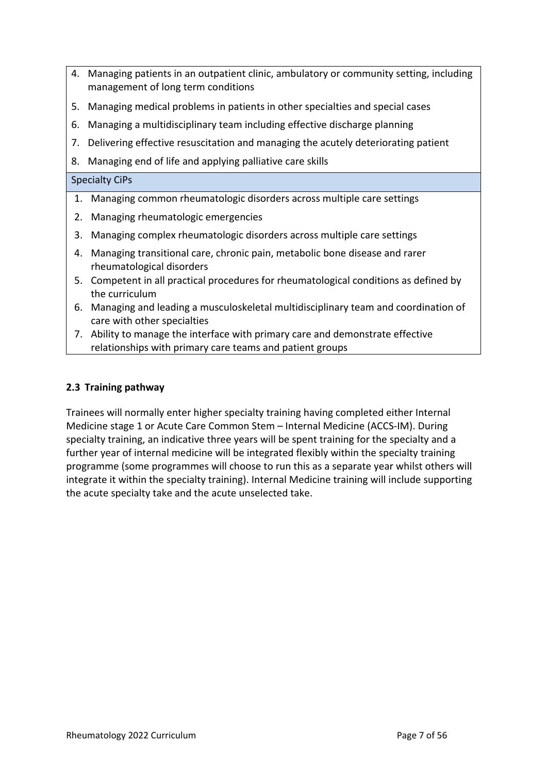- 4. Managing patients in an outpatient clinic, ambulatory or community setting, including management of long term conditions
- 5. Managing medical problems in patients in other specialties and special cases
- 6. Managing a multidisciplinary team including effective discharge planning
- 7. Delivering effective resuscitation and managing the acutely deteriorating patient
- 8. Managing end of life and applying palliative care skills

#### Specialty CiPs

- 1. Managing common rheumatologic disorders across multiple care settings
- 2. Managing rheumatologic emergencies
- 3. Managing complex rheumatologic disorders across multiple care settings
- 4. Managing transitional care, chronic pain, metabolic bone disease and rarer rheumatological disorders
- 5. Competent in all practical procedures for rheumatological conditions as defined by the curriculum
- 6. Managing and leading a musculoskeletal multidisciplinary team and coordination of care with other specialties
- 7. Ability to manage the interface with primary care and demonstrate effective relationships with primary care teams and patient groups

## <span id="page-6-0"></span>**2.3 Training pathway**

Trainees will normally enter higher specialty training having completed either Internal Medicine stage 1 or Acute Care Common Stem – Internal Medicine (ACCS-IM). During specialty training, an indicative three years will be spent training for the specialty and a further year of internal medicine will be integrated flexibly within the specialty training programme (some programmes will choose to run this as a separate year whilst others will integrate it within the specialty training). Internal Medicine training will include supporting the acute specialty take and the acute unselected take.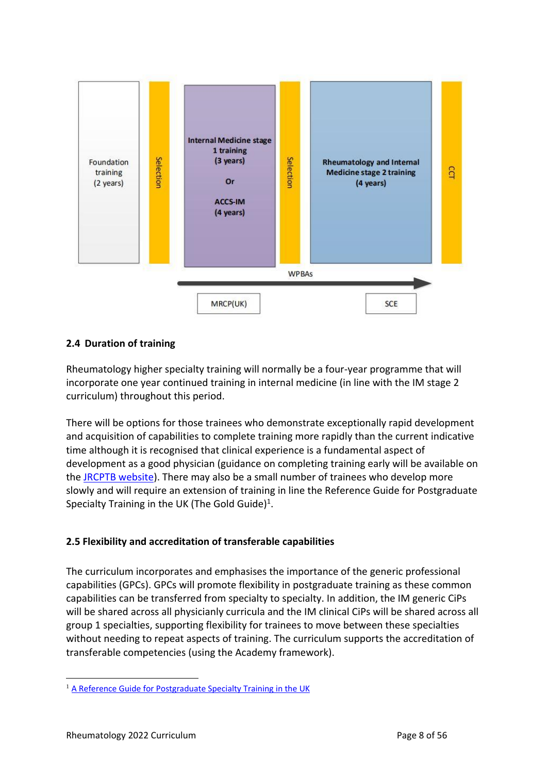

## <span id="page-7-0"></span>**2.4 Duration of training**

Rheumatology higher specialty training will normally be a four-year programme that will incorporate one year continued training in internal medicine (in line with the IM stage 2 curriculum) throughout this period.

There will be options for those trainees who demonstrate exceptionally rapid development and acquisition of capabilities to complete training more rapidly than the current indicative time although it is recognised that clinical experience is a fundamental aspect of development as a good physician (guidance on completing training early will be available on the [JRCPTB website\)](http://www.jrcptb.org.uk/). There may also be a small number of trainees who develop more slowly and will require an extension of training in line the Reference Guide for Postgraduate Specialty Training in the UK (The Gold Guide)<sup>1</sup>.

## <span id="page-7-1"></span>**2.5 Flexibility and accreditation of transferable capabilities**

The curriculum incorporates and emphasises the importance of the generic professional capabilities (GPCs). GPCs will promote flexibility in postgraduate training as these common capabilities can be transferred from specialty to specialty. In addition, the IM generic CiPs will be shared across all physicianly curricula and the IM clinical CiPs will be shared across all group 1 specialties, supporting flexibility for trainees to move between these specialties without needing to repeat aspects of training. The curriculum supports the accreditation of transferable competencies (using the Academy framework).

<sup>&</sup>lt;sup>1</sup> [A Reference Guide for Postgraduate Specialty Training in the UK](https://www.copmed.org.uk/publications/the-gold-guide)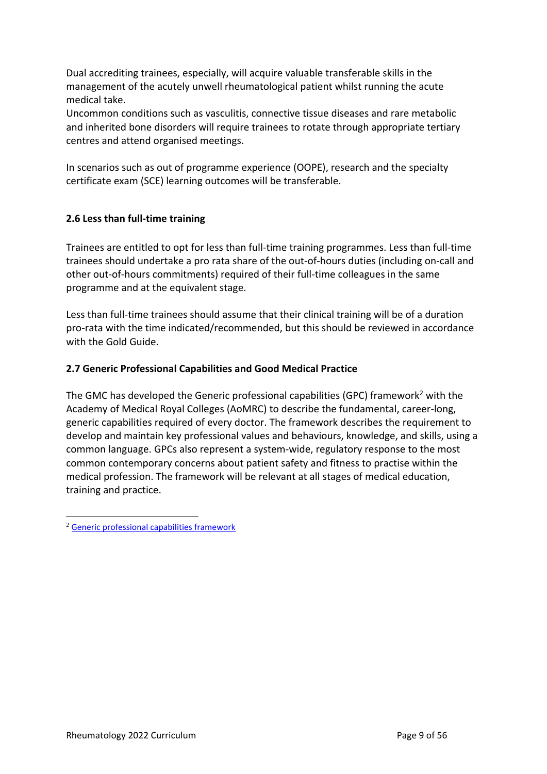Dual accrediting trainees, especially, will acquire valuable transferable skills in the management of the acutely unwell rheumatological patient whilst running the acute medical take.

Uncommon conditions such as vasculitis, connective tissue diseases and rare metabolic and inherited bone disorders will require trainees to rotate through appropriate tertiary centres and attend organised meetings.

In scenarios such as out of programme experience (OOPE), research and the specialty certificate exam (SCE) learning outcomes will be transferable.

# <span id="page-8-0"></span>**2.6 Less than full-time training**

Trainees are entitled to opt for less than full-time training programmes. Less than full-time trainees should undertake a pro rata share of the out-of-hours duties (including on-call and other out-of-hours commitments) required of their full-time colleagues in the same programme and at the equivalent stage.

Less than full-time trainees should assume that their clinical training will be of a duration pro-rata with the time indicated/recommended, but this should be reviewed in accordance with the Gold Guide.

## <span id="page-8-1"></span>**2.7 Generic Professional Capabilities and Good Medical Practice**

The GMC has developed the Generic professional capabilities (GPC) framework<sup>2</sup> with the Academy of Medical Royal Colleges (AoMRC) to describe the fundamental, career-long, generic capabilities required of every doctor. The framework describes the requirement to develop and maintain key professional values and behaviours, knowledge, and skills, using a common language. GPCs also represent a system-wide, regulatory response to the most common contemporary concerns about patient safety and fitness to practise within the medical profession. The framework will be relevant at all stages of medical education, training and practice.

<sup>2</sup> [Generic professional capabilities framework](http://www.gmc-uk.org/education/postgraduate/GPC.asp)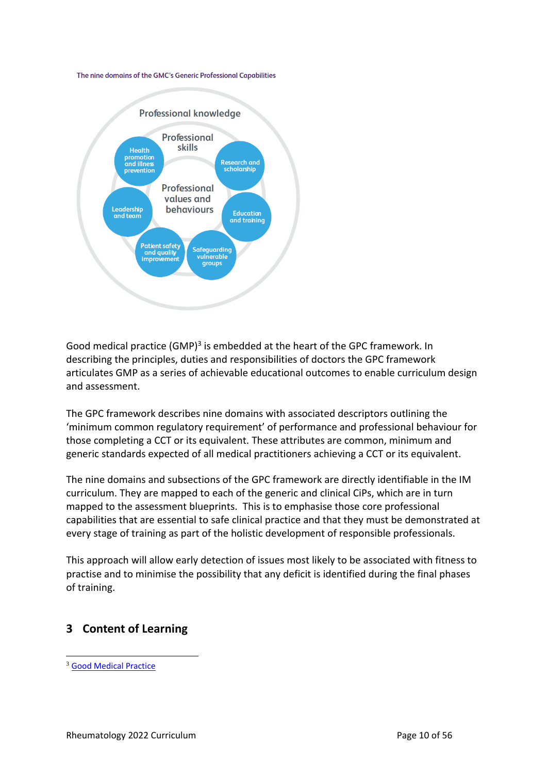#### The nine domains of the GMC's Generic Professional Capabilities

![](_page_9_Figure_1.jpeg)

Good medical practice (GMP)<sup>3</sup> is embedded at the heart of the GPC framework. In describing the principles, duties and responsibilities of doctors the GPC framework articulates GMP as a series of achievable educational outcomes to enable curriculum design and assessment.

The GPC framework describes nine domains with associated descriptors outlining the 'minimum common regulatory requirement' of performance and professional behaviour for those completing a CCT or its equivalent. These attributes are common, minimum and generic standards expected of all medical practitioners achieving a CCT or its equivalent.

The nine domains and subsections of the GPC framework are directly identifiable in the IM curriculum. They are mapped to each of the generic and clinical CiPs, which are in turn mapped to the assessment blueprints. This is to emphasise those core professional capabilities that are essential to safe clinical practice and that they must be demonstrated at every stage of training as part of the holistic development of responsible professionals.

This approach will allow early detection of issues most likely to be associated with fitness to practise and to minimise the possibility that any deficit is identified during the final phases of training.

# <span id="page-9-0"></span>**3 Content of Learning**

<sup>3</sup> [Good Medical Practice](http://www.gmc-uk.org/guidance/good_medical_practice.asp)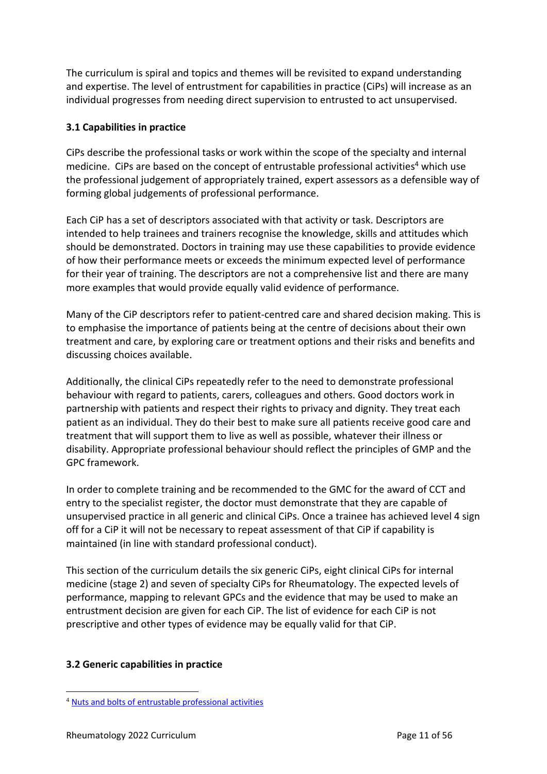The curriculum is spiral and topics and themes will be revisited to expand understanding and expertise. The level of entrustment for capabilities in practice (CiPs) will increase as an individual progresses from needing direct supervision to entrusted to act unsupervised.

# <span id="page-10-0"></span>**3.1 Capabilities in practice**

CiPs describe the professional tasks or work within the scope of the specialty and internal medicine. CiPs are based on the concept of entrustable professional activities<sup>4</sup> which use the professional judgement of appropriately trained, expert assessors as a defensible way of forming global judgements of professional performance.

Each CiP has a set of descriptors associated with that activity or task. Descriptors are intended to help trainees and trainers recognise the knowledge, skills and attitudes which should be demonstrated. Doctors in training may use these capabilities to provide evidence of how their performance meets or exceeds the minimum expected level of performance for their year of training. The descriptors are not a comprehensive list and there are many more examples that would provide equally valid evidence of performance.

Many of the CiP descriptors refer to patient-centred care and shared decision making. This is to emphasise the importance of patients being at the centre of decisions about their own treatment and care, by exploring care or treatment options and their risks and benefits and discussing choices available.

Additionally, the clinical CiPs repeatedly refer to the need to demonstrate professional behaviour with regard to patients, carers, colleagues and others. Good doctors work in partnership with patients and respect their rights to privacy and dignity. They treat each patient as an individual. They do their best to make sure all patients receive good care and treatment that will support them to live as well as possible, whatever their illness or disability. Appropriate professional behaviour should reflect the principles of GMP and the GPC framework.

In order to complete training and be recommended to the GMC for the award of CCT and entry to the specialist register, the doctor must demonstrate that they are capable of unsupervised practice in all generic and clinical CiPs. Once a trainee has achieved level 4 sign off for a CiP it will not be necessary to repeat assessment of that CiP if capability is maintained (in line with standard professional conduct).

This section of the curriculum details the six generic CiPs, eight clinical CiPs for internal medicine (stage 2) and seven of specialty CiPs for Rheumatology. The expected levels of performance, mapping to relevant GPCs and the evidence that may be used to make an entrustment decision are given for each CiP. The list of evidence for each CiP is not prescriptive and other types of evidence may be equally valid for that CiP.

## <span id="page-10-1"></span>**3.2 Generic capabilities in practice**

<sup>4</sup> [Nuts and bolts of entrustable professional activities](https://www.ncbi.nlm.nih.gov/pmc/articles/PMC3613304/)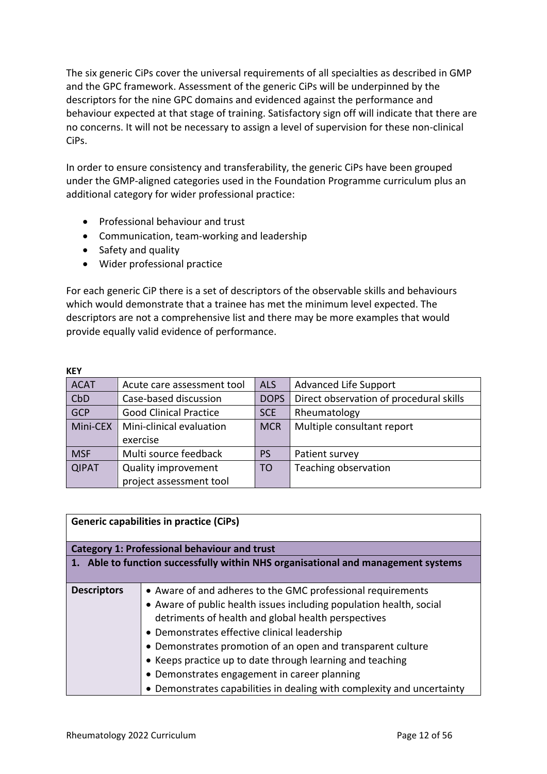The six generic CiPs cover the universal requirements of all specialties as described in GMP and the GPC framework. Assessment of the generic CiPs will be underpinned by the descriptors for the nine GPC domains and evidenced against the performance and behaviour expected at that stage of training. Satisfactory sign off will indicate that there are no concerns. It will not be necessary to assign a level of supervision for these non-clinical CiPs.

In order to ensure consistency and transferability, the generic CiPs have been grouped under the GMP-aligned categories used in the Foundation Programme curriculum plus an additional category for wider professional practice:

- Professional behaviour and trust
- Communication, team-working and leadership
- Safety and quality
- Wider professional practice

For each generic CiP there is a set of descriptors of the observable skills and behaviours which would demonstrate that a trainee has met the minimum level expected. The descriptors are not a comprehensive list and there may be more examples that would provide equally valid evidence of performance.

| <b>KEY</b>   |                               |             |                                         |
|--------------|-------------------------------|-------------|-----------------------------------------|
| <b>ACAT</b>  | Acute care assessment tool    | <b>ALS</b>  | <b>Advanced Life Support</b>            |
| CbD          | Case-based discussion         | <b>DOPS</b> | Direct observation of procedural skills |
| <b>GCP</b>   | <b>Good Clinical Practice</b> | <b>SCE</b>  | Rheumatology                            |
| Mini-CEX     | Mini-clinical evaluation      | <b>MCR</b>  | Multiple consultant report              |
|              | exercise                      |             |                                         |
| <b>MSF</b>   | Multi source feedback         | PS          | Patient survey                          |
| <b>QIPAT</b> | <b>Quality improvement</b>    | <b>TO</b>   | Teaching observation                    |
|              | project assessment tool       |             |                                         |

| <b>Generic capabilities in practice (CiPs)</b>                                    |                                                                        |  |
|-----------------------------------------------------------------------------------|------------------------------------------------------------------------|--|
|                                                                                   | <b>Category 1: Professional behaviour and trust</b>                    |  |
| 1. Able to function successfully within NHS organisational and management systems |                                                                        |  |
|                                                                                   |                                                                        |  |
| <b>Descriptors</b>                                                                | • Aware of and adheres to the GMC professional requirements            |  |
|                                                                                   | • Aware of public health issues including population health, social    |  |
|                                                                                   | detriments of health and global health perspectives                    |  |
|                                                                                   | • Demonstrates effective clinical leadership                           |  |
|                                                                                   | • Demonstrates promotion of an open and transparent culture            |  |
|                                                                                   | • Keeps practice up to date through learning and teaching              |  |
|                                                                                   | • Demonstrates engagement in career planning                           |  |
|                                                                                   | • Demonstrates capabilities in dealing with complexity and uncertainty |  |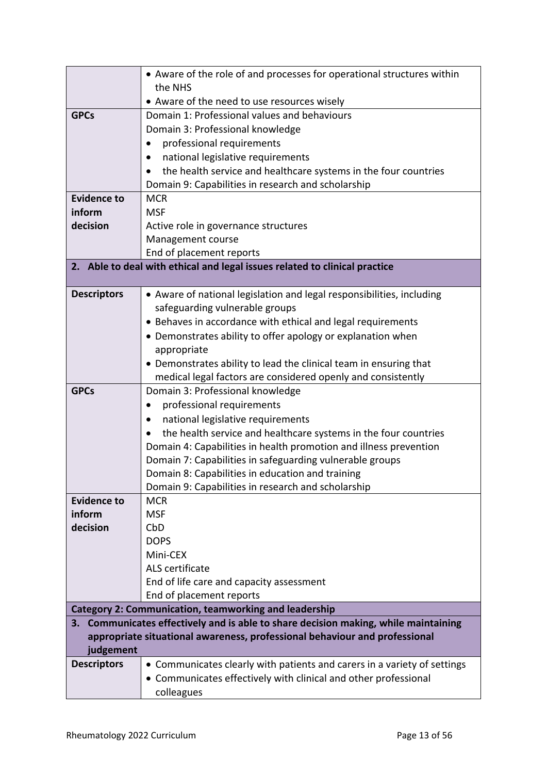|                              | • Aware of the role of and processes for operational structures within              |
|------------------------------|-------------------------------------------------------------------------------------|
|                              | the NHS                                                                             |
|                              | • Aware of the need to use resources wisely                                         |
| <b>GPCs</b>                  | Domain 1: Professional values and behaviours                                        |
|                              | Domain 3: Professional knowledge                                                    |
|                              | professional requirements                                                           |
|                              | national legislative requirements<br>٠                                              |
|                              | the health service and healthcare systems in the four countries                     |
|                              | Domain 9: Capabilities in research and scholarship                                  |
| <b>Evidence to</b><br>inform | <b>MCR</b><br><b>MSF</b>                                                            |
| decision                     |                                                                                     |
|                              | Active role in governance structures<br>Management course                           |
|                              | End of placement reports                                                            |
|                              | 2. Able to deal with ethical and legal issues related to clinical practice          |
|                              |                                                                                     |
| <b>Descriptors</b>           | • Aware of national legislation and legal responsibilities, including               |
|                              | safeguarding vulnerable groups                                                      |
|                              | • Behaves in accordance with ethical and legal requirements                         |
|                              | • Demonstrates ability to offer apology or explanation when                         |
|                              | appropriate                                                                         |
|                              | • Demonstrates ability to lead the clinical team in ensuring that                   |
|                              | medical legal factors are considered openly and consistently                        |
| <b>GPCs</b>                  | Domain 3: Professional knowledge                                                    |
|                              | professional requirements<br>٠                                                      |
|                              | national legislative requirements<br>$\bullet$                                      |
|                              | the health service and healthcare systems in the four countries                     |
|                              | Domain 4: Capabilities in health promotion and illness prevention                   |
|                              | Domain 7: Capabilities in safeguarding vulnerable groups                            |
|                              | Domain 8: Capabilities in education and training                                    |
|                              | Domain 9: Capabilities in research and scholarship                                  |
| <b>Evidence to</b>           | <b>MCR</b>                                                                          |
| inform                       | <b>MSF</b>                                                                          |
| decision                     | CbD<br><b>DOPS</b>                                                                  |
|                              | Mini-CEX                                                                            |
|                              | ALS certificate                                                                     |
|                              | End of life care and capacity assessment                                            |
|                              | End of placement reports                                                            |
|                              | <b>Category 2: Communication, teamworking and leadership</b>                        |
|                              | 3. Communicates effectively and is able to share decision making, while maintaining |
|                              | appropriate situational awareness, professional behaviour and professional          |
| judgement                    |                                                                                     |
| <b>Descriptors</b>           | • Communicates clearly with patients and carers in a variety of settings            |
|                              | • Communicates effectively with clinical and other professional                     |
|                              | colleagues                                                                          |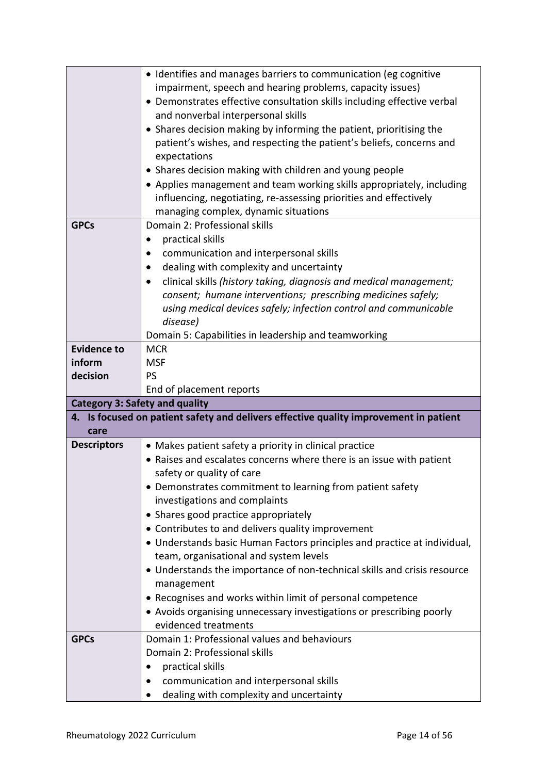|                                       | • Identifies and manages barriers to communication (eg cognitive                                                   |
|---------------------------------------|--------------------------------------------------------------------------------------------------------------------|
|                                       | impairment, speech and hearing problems, capacity issues)                                                          |
|                                       | • Demonstrates effective consultation skills including effective verbal                                            |
|                                       | and nonverbal interpersonal skills                                                                                 |
|                                       | • Shares decision making by informing the patient, prioritising the                                                |
|                                       | patient's wishes, and respecting the patient's beliefs, concerns and                                               |
|                                       | expectations                                                                                                       |
|                                       | • Shares decision making with children and young people                                                            |
|                                       | • Applies management and team working skills appropriately, including                                              |
|                                       | influencing, negotiating, re-assessing priorities and effectively                                                  |
|                                       | managing complex, dynamic situations                                                                               |
| <b>GPCs</b>                           | Domain 2: Professional skills                                                                                      |
|                                       | practical skills<br>٠                                                                                              |
|                                       | communication and interpersonal skills                                                                             |
|                                       | dealing with complexity and uncertainty                                                                            |
|                                       | clinical skills (history taking, diagnosis and medical management;                                                 |
|                                       | consent; humane interventions; prescribing medicines safely;                                                       |
|                                       | using medical devices safely; infection control and communicable                                                   |
|                                       | disease)                                                                                                           |
|                                       | Domain 5: Capabilities in leadership and teamworking                                                               |
| <b>Evidence to</b>                    | <b>MCR</b>                                                                                                         |
| inform                                | <b>MSF</b>                                                                                                         |
| decision                              | <b>PS</b>                                                                                                          |
|                                       |                                                                                                                    |
|                                       | End of placement reports                                                                                           |
| <b>Category 3: Safety and quality</b> |                                                                                                                    |
|                                       | 4. Is focused on patient safety and delivers effective quality improvement in patient                              |
| care                                  |                                                                                                                    |
| <b>Descriptors</b>                    | • Makes patient safety a priority in clinical practice                                                             |
|                                       | • Raises and escalates concerns where there is an issue with patient                                               |
|                                       | safety or quality of care                                                                                          |
|                                       | • Demonstrates commitment to learning from patient safety                                                          |
|                                       | investigations and complaints                                                                                      |
|                                       | • Shares good practice appropriately                                                                               |
|                                       | • Contributes to and delivers quality improvement                                                                  |
|                                       | • Understands basic Human Factors principles and practice at individual,<br>team, organisational and system levels |
|                                       | • Understands the importance of non-technical skills and crisis resource                                           |
|                                       | management                                                                                                         |
|                                       | • Recognises and works within limit of personal competence                                                         |
|                                       | • Avoids organising unnecessary investigations or prescribing poorly                                               |
|                                       | evidenced treatments                                                                                               |
| <b>GPCs</b>                           | Domain 1: Professional values and behaviours                                                                       |
|                                       | Domain 2: Professional skills                                                                                      |
|                                       | practical skills                                                                                                   |
|                                       | communication and interpersonal skills                                                                             |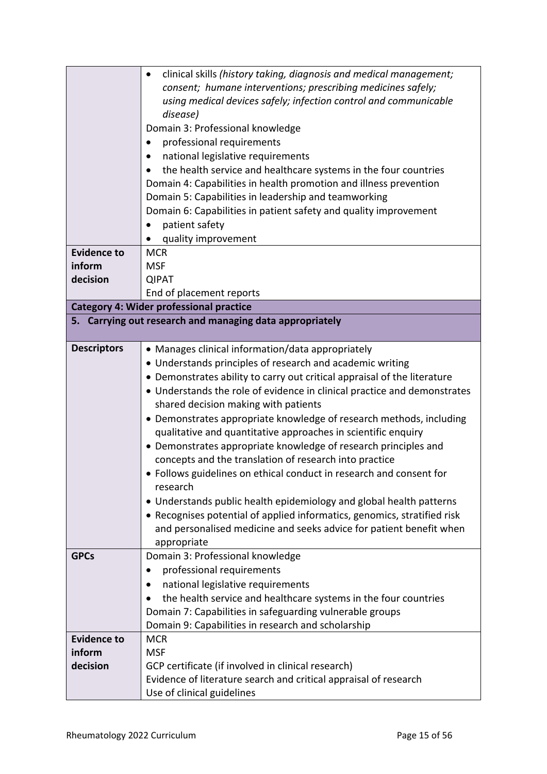|                    | clinical skills (history taking, diagnosis and medical management;       |
|--------------------|--------------------------------------------------------------------------|
|                    | consent; humane interventions; prescribing medicines safely;             |
|                    | using medical devices safely; infection control and communicable         |
|                    | disease)                                                                 |
|                    | Domain 3: Professional knowledge                                         |
|                    | professional requirements                                                |
|                    | national legislative requirements                                        |
|                    | the health service and healthcare systems in the four countries          |
|                    | Domain 4: Capabilities in health promotion and illness prevention        |
|                    | Domain 5: Capabilities in leadership and teamworking                     |
|                    | Domain 6: Capabilities in patient safety and quality improvement         |
|                    | patient safety                                                           |
|                    | quality improvement                                                      |
| <b>Evidence to</b> | <b>MCR</b>                                                               |
| inform             | <b>MSF</b>                                                               |
| decision           | <b>QIPAT</b>                                                             |
|                    | End of placement reports                                                 |
|                    | <b>Category 4: Wider professional practice</b>                           |
|                    | 5. Carrying out research and managing data appropriately                 |
|                    |                                                                          |
| <b>Descriptors</b> | • Manages clinical information/data appropriately                        |
|                    | • Understands principles of research and academic writing                |
|                    | • Demonstrates ability to carry out critical appraisal of the literature |
|                    | • Understands the role of evidence in clinical practice and demonstrates |
|                    | shared decision making with patients                                     |
|                    | • Demonstrates appropriate knowledge of research methods, including      |
|                    | qualitative and quantitative approaches in scientific enquiry            |
|                    | • Demonstrates appropriate knowledge of research principles and          |
|                    | concepts and the translation of research into practice                   |
|                    | • Follows guidelines on ethical conduct in research and consent for      |
|                    | research                                                                 |
|                    | • Understands public health epidemiology and global health patterns      |
|                    | • Recognises potential of applied informatics, genomics, stratified risk |
|                    | and personalised medicine and seeks advice for patient benefit when      |
|                    | appropriate                                                              |
| <b>GPCs</b>        | Domain 3: Professional knowledge                                         |
|                    | professional requirements                                                |
|                    | national legislative requirements                                        |
|                    | the health service and healthcare systems in the four countries          |
|                    | Domain 7: Capabilities in safeguarding vulnerable groups                 |
|                    | Domain 9: Capabilities in research and scholarship                       |
| <b>Evidence to</b> | <b>MCR</b>                                                               |
| inform             | <b>MSF</b>                                                               |
| decision           | GCP certificate (if involved in clinical research)                       |
|                    | Evidence of literature search and critical appraisal of research         |
|                    | Use of clinical guidelines                                               |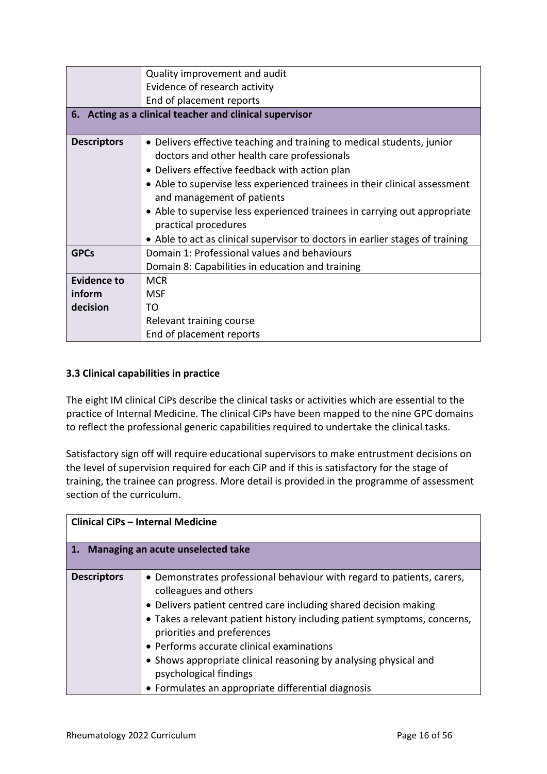|                            | Quality improvement and audit                                                 |  |
|----------------------------|-------------------------------------------------------------------------------|--|
|                            | Evidence of research activity                                                 |  |
|                            | End of placement reports                                                      |  |
|                            | 6. Acting as a clinical teacher and clinical supervisor                       |  |
|                            |                                                                               |  |
| <b>Descriptors</b>         | • Delivers effective teaching and training to medical students, junior        |  |
|                            | doctors and other health care professionals                                   |  |
|                            | • Delivers effective feedback with action plan                                |  |
|                            | • Able to supervise less experienced trainees in their clinical assessment    |  |
| and management of patients |                                                                               |  |
|                            | • Able to supervise less experienced trainees in carrying out appropriate     |  |
|                            | practical procedures                                                          |  |
|                            | • Able to act as clinical supervisor to doctors in earlier stages of training |  |
| <b>GPCs</b>                | Domain 1: Professional values and behaviours                                  |  |
|                            | Domain 8: Capabilities in education and training                              |  |
| Evidence to                | <b>MCR</b>                                                                    |  |
| inform                     | <b>MSF</b>                                                                    |  |
| decision                   | TΟ                                                                            |  |
|                            | Relevant training course                                                      |  |
|                            | End of placement reports                                                      |  |

## <span id="page-15-0"></span>**3.3 Clinical capabilities in practice**

The eight IM clinical CiPs describe the clinical tasks or activities which are essential to the practice of Internal Medicine. The clinical CiPs have been mapped to the nine GPC domains to reflect the professional generic capabilities required to undertake the clinical tasks.

Satisfactory sign off will require educational supervisors to make entrustment decisions on the level of supervision required for each CiP and if this is satisfactory for the stage of training, the trainee can progress. More detail is provided in the programme of assessment section of the curriculum.

| <b>Clinical CiPs - Internal Medicine</b> |                                                                                                                                                                                                                                                                                                                                                                                                                                                                                |  |
|------------------------------------------|--------------------------------------------------------------------------------------------------------------------------------------------------------------------------------------------------------------------------------------------------------------------------------------------------------------------------------------------------------------------------------------------------------------------------------------------------------------------------------|--|
| 1. Managing an acute unselected take     |                                                                                                                                                                                                                                                                                                                                                                                                                                                                                |  |
| <b>Descriptors</b>                       | • Demonstrates professional behaviour with regard to patients, carers,<br>colleagues and others<br>• Delivers patient centred care including shared decision making<br>• Takes a relevant patient history including patient symptoms, concerns,<br>priorities and preferences<br>• Performs accurate clinical examinations<br>• Shows appropriate clinical reasoning by analysing physical and<br>psychological findings<br>• Formulates an appropriate differential diagnosis |  |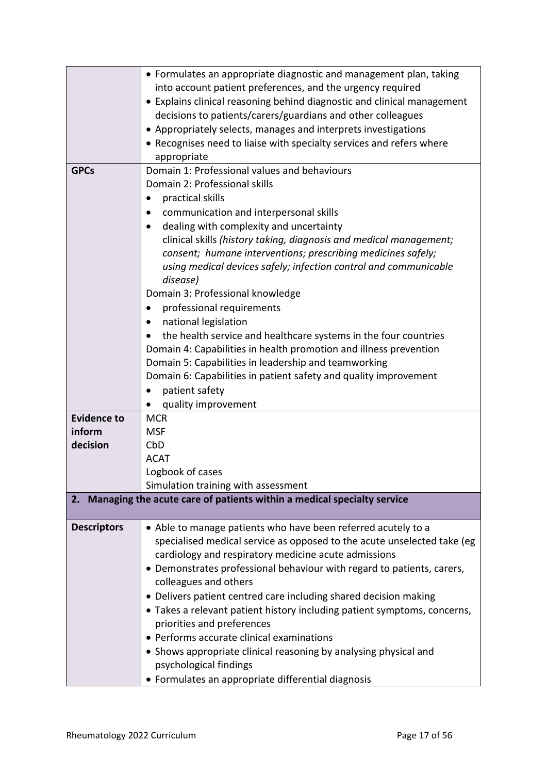|                    | • Formulates an appropriate diagnostic and management plan, taking        |
|--------------------|---------------------------------------------------------------------------|
|                    | into account patient preferences, and the urgency required                |
|                    | • Explains clinical reasoning behind diagnostic and clinical management   |
|                    | decisions to patients/carers/guardians and other colleagues               |
|                    | • Appropriately selects, manages and interprets investigations            |
|                    | • Recognises need to liaise with specialty services and refers where      |
|                    | appropriate                                                               |
| <b>GPCs</b>        | Domain 1: Professional values and behaviours                              |
|                    | Domain 2: Professional skills                                             |
|                    | practical skills                                                          |
|                    | communication and interpersonal skills                                    |
|                    | dealing with complexity and uncertainty<br>$\bullet$                      |
|                    | clinical skills (history taking, diagnosis and medical management;        |
|                    | consent; humane interventions; prescribing medicines safely;              |
|                    | using medical devices safely; infection control and communicable          |
|                    | disease)                                                                  |
|                    | Domain 3: Professional knowledge                                          |
|                    | professional requirements                                                 |
|                    | national legislation                                                      |
|                    | the health service and healthcare systems in the four countries           |
|                    | Domain 4: Capabilities in health promotion and illness prevention         |
|                    | Domain 5: Capabilities in leadership and teamworking                      |
|                    | Domain 6: Capabilities in patient safety and quality improvement          |
|                    | patient safety                                                            |
|                    | quality improvement                                                       |
| <b>Evidence to</b> | <b>MCR</b>                                                                |
| inform             | <b>MSF</b>                                                                |
| decision           | CbD                                                                       |
|                    | <b>ACAT</b>                                                               |
|                    | Logbook of cases                                                          |
|                    | Simulation training with assessment                                       |
|                    | 2. Managing the acute care of patients within a medical specialty service |
| <b>Descriptors</b> | • Able to manage patients who have been referred acutely to a             |
|                    | specialised medical service as opposed to the acute unselected take (eg   |
|                    | cardiology and respiratory medicine acute admissions                      |
|                    | • Demonstrates professional behaviour with regard to patients, carers,    |
|                    | colleagues and others                                                     |
|                    | • Delivers patient centred care including shared decision making          |
|                    | • Takes a relevant patient history including patient symptoms, concerns,  |
|                    | priorities and preferences                                                |
|                    | • Performs accurate clinical examinations                                 |
|                    | • Shows appropriate clinical reasoning by analysing physical and          |
|                    | psychological findings                                                    |
|                    | • Formulates an appropriate differential diagnosis                        |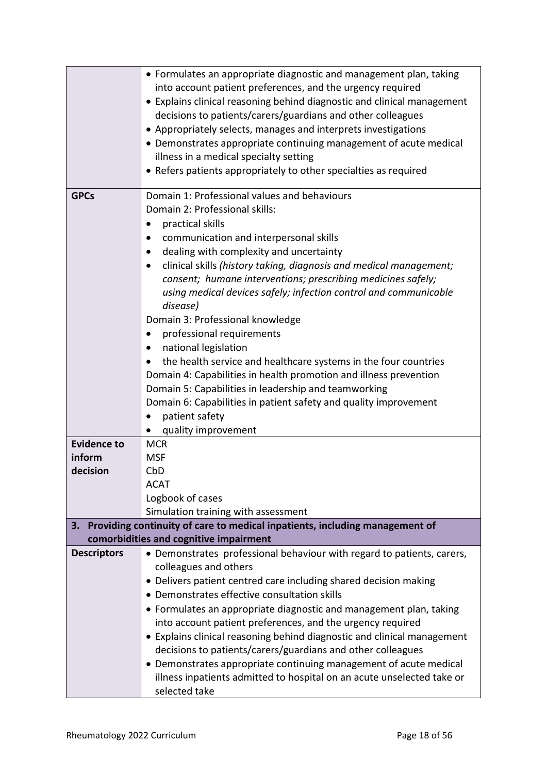|                    | • Formulates an appropriate diagnostic and management plan, taking<br>into account patient preferences, and the urgency required<br>• Explains clinical reasoning behind diagnostic and clinical management<br>decisions to patients/carers/guardians and other colleagues<br>• Appropriately selects, manages and interprets investigations<br>• Demonstrates appropriate continuing management of acute medical<br>illness in a medical specialty setting<br>• Refers patients appropriately to other specialties as required                                                                                                                                                                                                                                            |
|--------------------|----------------------------------------------------------------------------------------------------------------------------------------------------------------------------------------------------------------------------------------------------------------------------------------------------------------------------------------------------------------------------------------------------------------------------------------------------------------------------------------------------------------------------------------------------------------------------------------------------------------------------------------------------------------------------------------------------------------------------------------------------------------------------|
| <b>GPCs</b>        | Domain 1: Professional values and behaviours<br>Domain 2: Professional skills:<br>practical skills<br>communication and interpersonal skills<br>dealing with complexity and uncertainty<br>clinical skills (history taking, diagnosis and medical management;<br>consent; humane interventions; prescribing medicines safely;<br>using medical devices safely; infection control and communicable<br>disease)<br>Domain 3: Professional knowledge<br>professional requirements<br>national legislation<br>the health service and healthcare systems in the four countries<br>Domain 4: Capabilities in health promotion and illness prevention<br>Domain 5: Capabilities in leadership and teamworking<br>Domain 6: Capabilities in patient safety and quality improvement |
|                    | patient safety<br>quality improvement                                                                                                                                                                                                                                                                                                                                                                                                                                                                                                                                                                                                                                                                                                                                      |
| <b>Evidence to</b> | <b>MCR</b>                                                                                                                                                                                                                                                                                                                                                                                                                                                                                                                                                                                                                                                                                                                                                                 |
| inform             | <b>MSF</b>                                                                                                                                                                                                                                                                                                                                                                                                                                                                                                                                                                                                                                                                                                                                                                 |
| decision           | CbD                                                                                                                                                                                                                                                                                                                                                                                                                                                                                                                                                                                                                                                                                                                                                                        |
|                    | <b>ACAT</b>                                                                                                                                                                                                                                                                                                                                                                                                                                                                                                                                                                                                                                                                                                                                                                |
|                    | Logbook of cases                                                                                                                                                                                                                                                                                                                                                                                                                                                                                                                                                                                                                                                                                                                                                           |
|                    | Simulation training with assessment                                                                                                                                                                                                                                                                                                                                                                                                                                                                                                                                                                                                                                                                                                                                        |
| 3.                 | Providing continuity of care to medical inpatients, including management of                                                                                                                                                                                                                                                                                                                                                                                                                                                                                                                                                                                                                                                                                                |
|                    | comorbidities and cognitive impairment                                                                                                                                                                                                                                                                                                                                                                                                                                                                                                                                                                                                                                                                                                                                     |
| <b>Descriptors</b> | • Demonstrates professional behaviour with regard to patients, carers,                                                                                                                                                                                                                                                                                                                                                                                                                                                                                                                                                                                                                                                                                                     |
|                    | colleagues and others                                                                                                                                                                                                                                                                                                                                                                                                                                                                                                                                                                                                                                                                                                                                                      |
|                    | • Delivers patient centred care including shared decision making                                                                                                                                                                                                                                                                                                                                                                                                                                                                                                                                                                                                                                                                                                           |
|                    | • Demonstrates effective consultation skills                                                                                                                                                                                                                                                                                                                                                                                                                                                                                                                                                                                                                                                                                                                               |
|                    | • Formulates an appropriate diagnostic and management plan, taking                                                                                                                                                                                                                                                                                                                                                                                                                                                                                                                                                                                                                                                                                                         |
|                    | into account patient preferences, and the urgency required                                                                                                                                                                                                                                                                                                                                                                                                                                                                                                                                                                                                                                                                                                                 |
|                    | • Explains clinical reasoning behind diagnostic and clinical management                                                                                                                                                                                                                                                                                                                                                                                                                                                                                                                                                                                                                                                                                                    |
|                    | decisions to patients/carers/guardians and other colleagues                                                                                                                                                                                                                                                                                                                                                                                                                                                                                                                                                                                                                                                                                                                |
|                    | • Demonstrates appropriate continuing management of acute medical<br>illness inpatients admitted to hospital on an acute unselected take or<br>selected take                                                                                                                                                                                                                                                                                                                                                                                                                                                                                                                                                                                                               |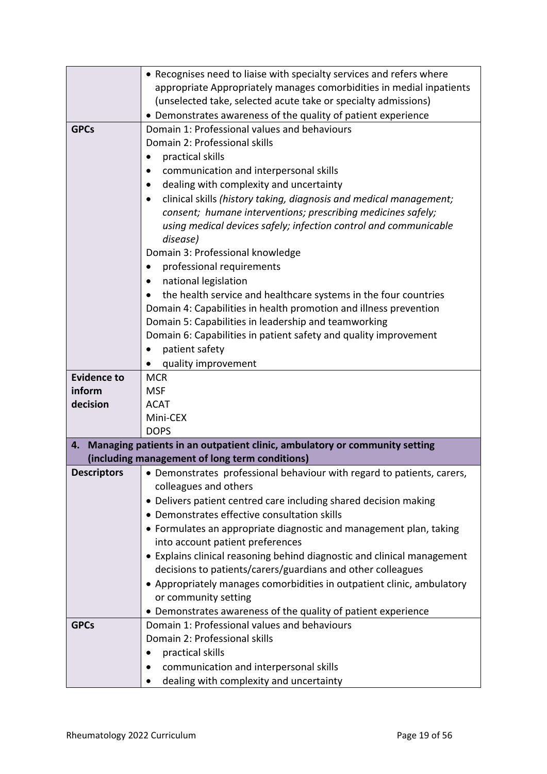|                              | • Recognises need to liaise with specialty services and refers where       |  |  |
|------------------------------|----------------------------------------------------------------------------|--|--|
|                              | appropriate Appropriately manages comorbidities in medial inpatients       |  |  |
|                              | (unselected take, selected acute take or specialty admissions)             |  |  |
|                              | • Demonstrates awareness of the quality of patient experience              |  |  |
| <b>GPCs</b>                  | Domain 1: Professional values and behaviours                               |  |  |
|                              | Domain 2: Professional skills                                              |  |  |
|                              | practical skills                                                           |  |  |
|                              | communication and interpersonal skills                                     |  |  |
|                              | dealing with complexity and uncertainty<br>$\bullet$                       |  |  |
|                              | clinical skills (history taking, diagnosis and medical management;         |  |  |
|                              | consent; humane interventions; prescribing medicines safely;               |  |  |
|                              | using medical devices safely; infection control and communicable           |  |  |
|                              | disease)                                                                   |  |  |
|                              | Domain 3: Professional knowledge                                           |  |  |
|                              | professional requirements                                                  |  |  |
|                              | national legislation                                                       |  |  |
|                              | the health service and healthcare systems in the four countries            |  |  |
|                              | Domain 4: Capabilities in health promotion and illness prevention          |  |  |
|                              | Domain 5: Capabilities in leadership and teamworking                       |  |  |
|                              | Domain 6: Capabilities in patient safety and quality improvement           |  |  |
|                              | patient safety                                                             |  |  |
|                              | quality improvement                                                        |  |  |
| <b>Evidence to</b><br>inform | <b>MCR</b><br><b>MSF</b>                                                   |  |  |
| decision                     | <b>ACAT</b>                                                                |  |  |
|                              | Mini-CEX                                                                   |  |  |
|                              | <b>DOPS</b>                                                                |  |  |
| 4.                           | Managing patients in an outpatient clinic, ambulatory or community setting |  |  |
|                              | (including management of long term conditions)                             |  |  |
| <b>Descriptors</b>           | • Demonstrates professional behaviour with regard to patients, carers,     |  |  |
|                              | colleagues and others                                                      |  |  |
|                              | • Delivers patient centred care including shared decision making           |  |  |
|                              | • Demonstrates effective consultation skills                               |  |  |
|                              | • Formulates an appropriate diagnostic and management plan, taking         |  |  |
|                              | into account patient preferences                                           |  |  |
|                              | • Explains clinical reasoning behind diagnostic and clinical management    |  |  |
|                              | decisions to patients/carers/guardians and other colleagues                |  |  |
|                              | • Appropriately manages comorbidities in outpatient clinic, ambulatory     |  |  |
|                              | or community setting                                                       |  |  |
|                              | • Demonstrates awareness of the quality of patient experience              |  |  |
| <b>GPCs</b>                  | Domain 1: Professional values and behaviours                               |  |  |
|                              | Domain 2: Professional skills                                              |  |  |
|                              | practical skills                                                           |  |  |
|                              | communication and interpersonal skills                                     |  |  |
|                              | dealing with complexity and uncertainty                                    |  |  |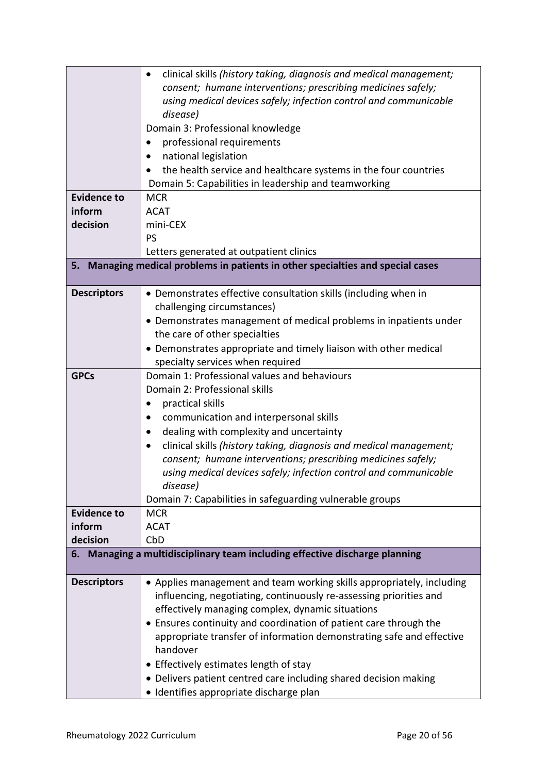|                    | clinical skills (history taking, diagnosis and medical management;<br>٠      |  |  |
|--------------------|------------------------------------------------------------------------------|--|--|
|                    | consent; humane interventions; prescribing medicines safely;                 |  |  |
|                    | using medical devices safely; infection control and communicable             |  |  |
|                    | disease)                                                                     |  |  |
|                    | Domain 3: Professional knowledge                                             |  |  |
|                    | professional requirements                                                    |  |  |
|                    | national legislation                                                         |  |  |
|                    | the health service and healthcare systems in the four countries              |  |  |
|                    | Domain 5: Capabilities in leadership and teamworking                         |  |  |
| <b>Evidence to</b> | <b>MCR</b>                                                                   |  |  |
| inform             | <b>ACAT</b>                                                                  |  |  |
| decision           | mini-CEX                                                                     |  |  |
|                    | PS                                                                           |  |  |
|                    | Letters generated at outpatient clinics                                      |  |  |
| 5.                 | Managing medical problems in patients in other specialties and special cases |  |  |
|                    |                                                                              |  |  |
| <b>Descriptors</b> | • Demonstrates effective consultation skills (including when in              |  |  |
|                    | challenging circumstances)                                                   |  |  |
|                    | • Demonstrates management of medical problems in inpatients under            |  |  |
|                    | the care of other specialties                                                |  |  |
|                    | • Demonstrates appropriate and timely liaison with other medical             |  |  |
|                    | specialty services when required                                             |  |  |
| <b>GPCs</b>        | Domain 1: Professional values and behaviours                                 |  |  |
|                    | Domain 2: Professional skills                                                |  |  |
|                    | practical skills                                                             |  |  |
|                    | communication and interpersonal skills                                       |  |  |
|                    | dealing with complexity and uncertainty<br>$\bullet$                         |  |  |
|                    | clinical skills (history taking, diagnosis and medical management;           |  |  |
|                    | consent; humane interventions; prescribing medicines safely;                 |  |  |
|                    | using medical devices safely; infection control and communicable             |  |  |
|                    | disease)                                                                     |  |  |
|                    | Domain 7: Capabilities in safeguarding vulnerable groups                     |  |  |
| <b>Evidence to</b> | <b>MCR</b>                                                                   |  |  |
| inform             | <b>ACAT</b>                                                                  |  |  |
| decision           | CbD                                                                          |  |  |
|                    | 6. Managing a multidisciplinary team including effective discharge planning  |  |  |
| <b>Descriptors</b> | • Applies management and team working skills appropriately, including        |  |  |
|                    | influencing, negotiating, continuously re-assessing priorities and           |  |  |
|                    | effectively managing complex, dynamic situations                             |  |  |
|                    | • Ensures continuity and coordination of patient care through the            |  |  |
|                    | appropriate transfer of information demonstrating safe and effective         |  |  |
|                    | handover                                                                     |  |  |
|                    | • Effectively estimates length of stay                                       |  |  |
|                    | • Delivers patient centred care including shared decision making             |  |  |
|                    | · Identifies appropriate discharge plan                                      |  |  |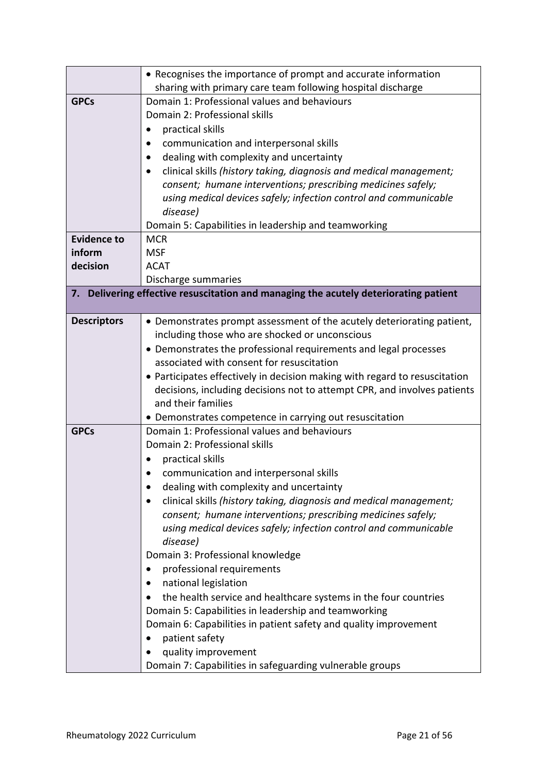|                    | • Recognises the importance of prompt and accurate information                                                           |  |  |
|--------------------|--------------------------------------------------------------------------------------------------------------------------|--|--|
|                    | sharing with primary care team following hospital discharge                                                              |  |  |
| <b>GPCs</b>        | Domain 1: Professional values and behaviours                                                                             |  |  |
|                    | Domain 2: Professional skills                                                                                            |  |  |
|                    | practical skills                                                                                                         |  |  |
|                    | communication and interpersonal skills                                                                                   |  |  |
|                    | dealing with complexity and uncertainty                                                                                  |  |  |
|                    | clinical skills (history taking, diagnosis and medical management;                                                       |  |  |
|                    | consent; humane interventions; prescribing medicines safely;                                                             |  |  |
|                    | using medical devices safely; infection control and communicable                                                         |  |  |
|                    | disease)                                                                                                                 |  |  |
|                    | Domain 5: Capabilities in leadership and teamworking                                                                     |  |  |
| <b>Evidence to</b> | <b>MCR</b>                                                                                                               |  |  |
| inform             | <b>MSF</b>                                                                                                               |  |  |
| decision           | <b>ACAT</b>                                                                                                              |  |  |
|                    | Discharge summaries                                                                                                      |  |  |
|                    | 7. Delivering effective resuscitation and managing the acutely deteriorating patient                                     |  |  |
|                    |                                                                                                                          |  |  |
| <b>Descriptors</b> | • Demonstrates prompt assessment of the acutely deteriorating patient,<br>including those who are shocked or unconscious |  |  |
|                    | • Demonstrates the professional requirements and legal processes                                                         |  |  |
|                    | associated with consent for resuscitation                                                                                |  |  |
|                    | • Participates effectively in decision making with regard to resuscitation                                               |  |  |
|                    | decisions, including decisions not to attempt CPR, and involves patients                                                 |  |  |
|                    | and their families                                                                                                       |  |  |
|                    | • Demonstrates competence in carrying out resuscitation                                                                  |  |  |
| <b>GPCs</b>        | Domain 1: Professional values and behaviours                                                                             |  |  |
|                    | Domain 2: Professional skills                                                                                            |  |  |
|                    | practical skills                                                                                                         |  |  |
|                    | communication and interpersonal skills<br>$\bullet$                                                                      |  |  |
|                    | dealing with complexity and uncertainty                                                                                  |  |  |
|                    | clinical skills (history taking, diagnosis and medical management;                                                       |  |  |
|                    | consent; humane interventions; prescribing medicines safely;                                                             |  |  |
|                    | using medical devices safely; infection control and communicable                                                         |  |  |
|                    | disease)                                                                                                                 |  |  |
|                    | Domain 3: Professional knowledge                                                                                         |  |  |
|                    | professional requirements                                                                                                |  |  |
|                    | national legislation                                                                                                     |  |  |
|                    | the health service and healthcare systems in the four countries                                                          |  |  |
|                    | Domain 5: Capabilities in leadership and teamworking                                                                     |  |  |
|                    | Domain 6: Capabilities in patient safety and quality improvement                                                         |  |  |
|                    | patient safety<br>$\bullet$                                                                                              |  |  |
|                    | quality improvement                                                                                                      |  |  |
|                    | Domain 7: Capabilities in safeguarding vulnerable groups                                                                 |  |  |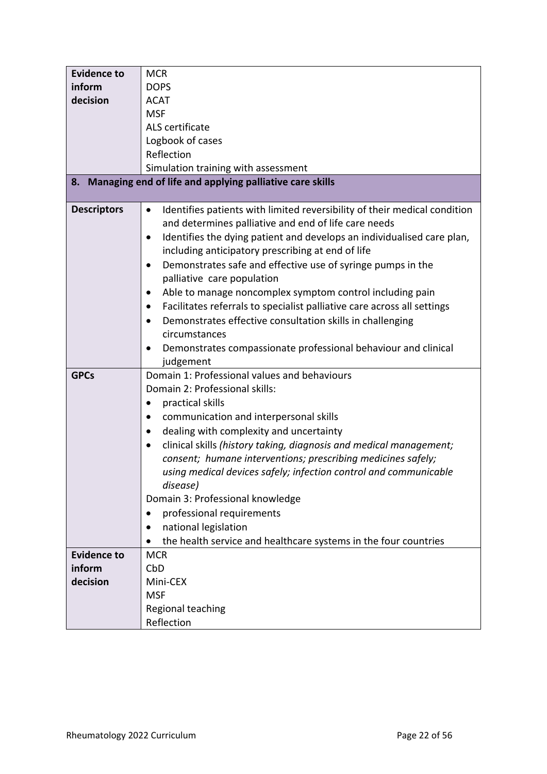| <b>Evidence to</b> | <b>MCR</b>                                                                             |  |  |
|--------------------|----------------------------------------------------------------------------------------|--|--|
| inform             | <b>DOPS</b>                                                                            |  |  |
| decision           | <b>ACAT</b>                                                                            |  |  |
|                    | <b>MSF</b>                                                                             |  |  |
|                    | ALS certificate                                                                        |  |  |
|                    | Logbook of cases                                                                       |  |  |
|                    | Reflection                                                                             |  |  |
|                    | Simulation training with assessment                                                    |  |  |
| 8.                 | Managing end of life and applying palliative care skills                               |  |  |
|                    |                                                                                        |  |  |
| <b>Descriptors</b> | Identifies patients with limited reversibility of their medical condition<br>$\bullet$ |  |  |
|                    | and determines palliative and end of life care needs                                   |  |  |
|                    | Identifies the dying patient and develops an individualised care plan,<br>$\bullet$    |  |  |
|                    | including anticipatory prescribing at end of life                                      |  |  |
|                    | Demonstrates safe and effective use of syringe pumps in the                            |  |  |
|                    | palliative care population                                                             |  |  |
|                    | Able to manage noncomplex symptom control including pain                               |  |  |
|                    | Facilitates referrals to specialist palliative care across all settings<br>٠           |  |  |
|                    | Demonstrates effective consultation skills in challenging                              |  |  |
|                    | circumstances                                                                          |  |  |
|                    | Demonstrates compassionate professional behaviour and clinical                         |  |  |
|                    | judgement                                                                              |  |  |
| <b>GPCs</b>        | Domain 1: Professional values and behaviours                                           |  |  |
|                    | Domain 2: Professional skills:                                                         |  |  |
|                    | practical skills                                                                       |  |  |
|                    | communication and interpersonal skills                                                 |  |  |
|                    | dealing with complexity and uncertainty<br>$\bullet$                                   |  |  |
|                    | clinical skills (history taking, diagnosis and medical management;                     |  |  |
|                    | consent; humane interventions; prescribing medicines safely;                           |  |  |
|                    | using medical devices safely; infection control and communicable                       |  |  |
|                    | disease)                                                                               |  |  |
|                    | Domain 3: Professional knowledge                                                       |  |  |
|                    | professional requirements                                                              |  |  |
|                    | national legislation                                                                   |  |  |
|                    | the health service and healthcare systems in the four countries                        |  |  |
| <b>Evidence to</b> | <b>MCR</b>                                                                             |  |  |
| inform             | CbD                                                                                    |  |  |
| decision           | Mini-CEX                                                                               |  |  |
|                    | <b>MSF</b>                                                                             |  |  |
|                    | Regional teaching                                                                      |  |  |
|                    | Reflection                                                                             |  |  |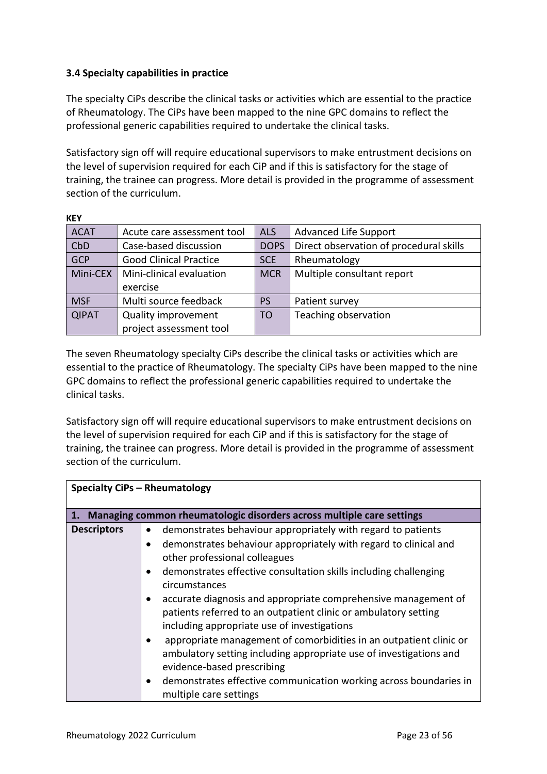## <span id="page-22-0"></span>**3.4 Specialty capabilities in practice**

**KEY**

The specialty CiPs describe the clinical tasks or activities which are essential to the practice of Rheumatology. The CiPs have been mapped to the nine GPC domains to reflect the professional generic capabilities required to undertake the clinical tasks.

Satisfactory sign off will require educational supervisors to make entrustment decisions on the level of supervision required for each CiP and if this is satisfactory for the stage of training, the trainee can progress. More detail is provided in the programme of assessment section of the curriculum.

| NET          |                               |                |                                         |
|--------------|-------------------------------|----------------|-----------------------------------------|
| <b>ACAT</b>  | Acute care assessment tool    | <b>ALS</b>     | <b>Advanced Life Support</b>            |
| CbD          | Case-based discussion         |                | Direct observation of procedural skills |
| <b>GCP</b>   | <b>Good Clinical Practice</b> |                | Rheumatology                            |
| Mini-CEX     | Mini-clinical evaluation      | <b>MCR</b>     | Multiple consultant report              |
|              | exercise                      |                |                                         |
| <b>MSF</b>   | Multi source feedback         | PS             | Patient survey                          |
| <b>QIPAT</b> | <b>Quality improvement</b>    | T <sub>O</sub> | Teaching observation                    |
|              | project assessment tool       |                |                                         |

The seven Rheumatology specialty CiPs describe the clinical tasks or activities which are essential to the practice of Rheumatology. The specialty CiPs have been mapped to the nine GPC domains to reflect the professional generic capabilities required to undertake the clinical tasks.

Satisfactory sign off will require educational supervisors to make entrustment decisions on the level of supervision required for each CiP and if this is satisfactory for the stage of training, the trainee can progress. More detail is provided in the programme of assessment section of the curriculum.

| <b>Specialty CiPs - Rheumatology</b> |                                                                                                                                                                                                                                                                                                                                                                                                                                                                                                                                                                                                                                                                                                                     |  |
|--------------------------------------|---------------------------------------------------------------------------------------------------------------------------------------------------------------------------------------------------------------------------------------------------------------------------------------------------------------------------------------------------------------------------------------------------------------------------------------------------------------------------------------------------------------------------------------------------------------------------------------------------------------------------------------------------------------------------------------------------------------------|--|
| 1.                                   | Managing common rheumatologic disorders across multiple care settings                                                                                                                                                                                                                                                                                                                                                                                                                                                                                                                                                                                                                                               |  |
| <b>Descriptors</b>                   | demonstrates behaviour appropriately with regard to patients<br>demonstrates behaviour appropriately with regard to clinical and<br>other professional colleagues<br>demonstrates effective consultation skills including challenging<br>circumstances<br>accurate diagnosis and appropriate comprehensive management of<br>patients referred to an outpatient clinic or ambulatory setting<br>including appropriate use of investigations<br>appropriate management of comorbidities in an outpatient clinic or<br>ambulatory setting including appropriate use of investigations and<br>evidence-based prescribing<br>demonstrates effective communication working across boundaries in<br>multiple care settings |  |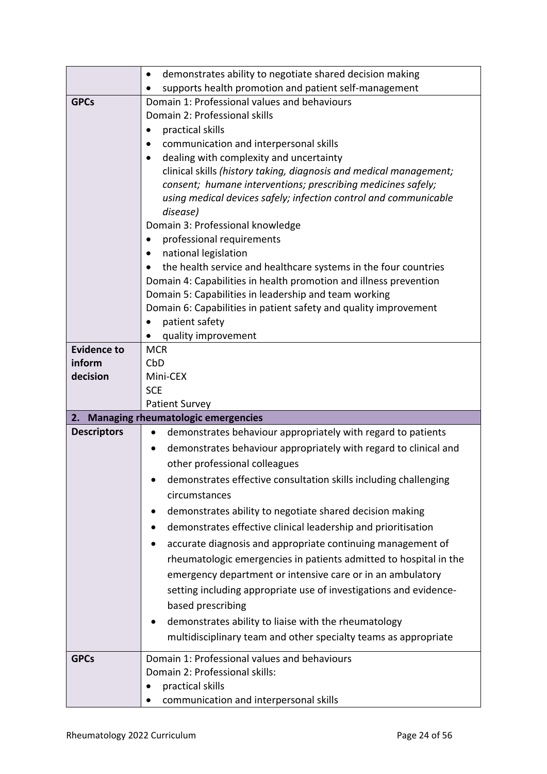|                    | demonstrates ability to negotiate shared decision making                           |  |  |
|--------------------|------------------------------------------------------------------------------------|--|--|
|                    | supports health promotion and patient self-management                              |  |  |
| <b>GPCs</b>        | Domain 1: Professional values and behaviours                                       |  |  |
|                    | Domain 2: Professional skills                                                      |  |  |
|                    | practical skills                                                                   |  |  |
|                    | communication and interpersonal skills                                             |  |  |
|                    | dealing with complexity and uncertainty                                            |  |  |
|                    | clinical skills (history taking, diagnosis and medical management;                 |  |  |
|                    | consent; humane interventions; prescribing medicines safely;                       |  |  |
|                    | using medical devices safely; infection control and communicable                   |  |  |
|                    | disease)                                                                           |  |  |
|                    | Domain 3: Professional knowledge                                                   |  |  |
|                    | professional requirements                                                          |  |  |
|                    | national legislation<br>٠                                                          |  |  |
|                    | the health service and healthcare systems in the four countries                    |  |  |
|                    | Domain 4: Capabilities in health promotion and illness prevention                  |  |  |
|                    | Domain 5: Capabilities in leadership and team working                              |  |  |
|                    | Domain 6: Capabilities in patient safety and quality improvement<br>patient safety |  |  |
|                    | quality improvement                                                                |  |  |
| <b>Evidence to</b> | <b>MCR</b>                                                                         |  |  |
| inform             | CbD                                                                                |  |  |
| decision           | Mini-CEX                                                                           |  |  |
|                    | <b>SCE</b>                                                                         |  |  |
|                    | <b>Patient Survey</b>                                                              |  |  |
| 2.                 | <b>Managing rheumatologic emergencies</b>                                          |  |  |
|                    |                                                                                    |  |  |
| <b>Descriptors</b> | demonstrates behaviour appropriately with regard to patients<br>$\bullet$          |  |  |
|                    | demonstrates behaviour appropriately with regard to clinical and                   |  |  |
|                    | other professional colleagues                                                      |  |  |
|                    |                                                                                    |  |  |
|                    | demonstrates effective consultation skills including challenging                   |  |  |
|                    | circumstances                                                                      |  |  |
|                    | demonstrates ability to negotiate shared decision making                           |  |  |
|                    | demonstrates effective clinical leadership and prioritisation                      |  |  |
|                    | accurate diagnosis and appropriate continuing management of                        |  |  |
|                    | rheumatologic emergencies in patients admitted to hospital in the                  |  |  |
|                    | emergency department or intensive care or in an ambulatory                         |  |  |
|                    | setting including appropriate use of investigations and evidence-                  |  |  |
|                    | based prescribing                                                                  |  |  |
|                    | demonstrates ability to liaise with the rheumatology                               |  |  |
|                    | multidisciplinary team and other specialty teams as appropriate                    |  |  |
|                    |                                                                                    |  |  |
| <b>GPCs</b>        | Domain 1: Professional values and behaviours                                       |  |  |
|                    | Domain 2: Professional skills:<br>practical skills                                 |  |  |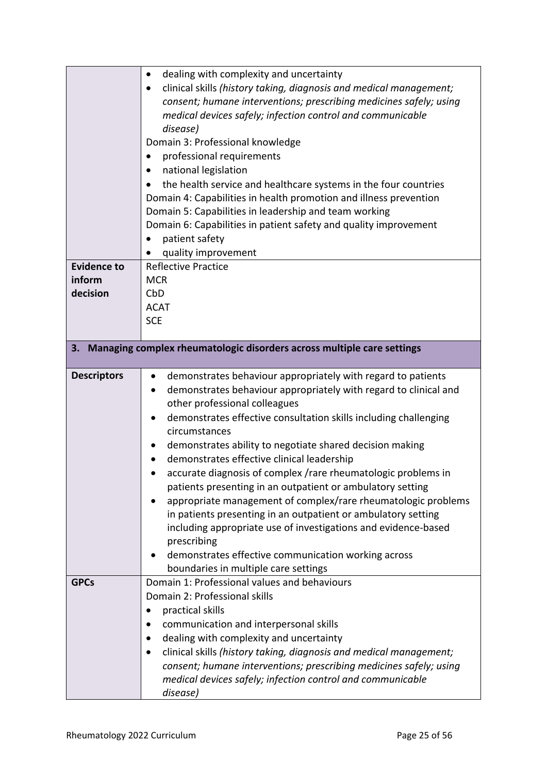|                    | dealing with complexity and uncertainty<br>$\bullet$                      |  |  |
|--------------------|---------------------------------------------------------------------------|--|--|
|                    | clinical skills (history taking, diagnosis and medical management;        |  |  |
|                    | consent; humane interventions; prescribing medicines safely; using        |  |  |
|                    | medical devices safely; infection control and communicable                |  |  |
|                    | disease)                                                                  |  |  |
|                    | Domain 3: Professional knowledge                                          |  |  |
|                    | professional requirements<br>$\bullet$                                    |  |  |
|                    | national legislation                                                      |  |  |
|                    | the health service and healthcare systems in the four countries           |  |  |
|                    | Domain 4: Capabilities in health promotion and illness prevention         |  |  |
|                    | Domain 5: Capabilities in leadership and team working                     |  |  |
|                    | Domain 6: Capabilities in patient safety and quality improvement          |  |  |
|                    | patient safety                                                            |  |  |
|                    | quality improvement                                                       |  |  |
| <b>Evidence to</b> | <b>Reflective Practice</b>                                                |  |  |
| inform             | <b>MCR</b>                                                                |  |  |
| decision           | CbD                                                                       |  |  |
|                    | <b>ACAT</b>                                                               |  |  |
|                    | <b>SCE</b>                                                                |  |  |
|                    |                                                                           |  |  |
| 3.                 | Managing complex rheumatologic disorders across multiple care settings    |  |  |
|                    |                                                                           |  |  |
| <b>Descriptors</b> | demonstrates behaviour appropriately with regard to patients<br>$\bullet$ |  |  |
|                    | demonstrates behaviour appropriately with regard to clinical and<br>٠     |  |  |
|                    | other professional colleagues                                             |  |  |
|                    | demonstrates effective consultation skills including challenging          |  |  |
|                    | circumstances                                                             |  |  |
|                    | demonstrates ability to negotiate shared decision making<br>$\bullet$     |  |  |
|                    | demonstrates effective clinical leadership                                |  |  |
|                    | accurate diagnosis of complex /rare rheumatologic problems in             |  |  |
|                    | patients presenting in an outpatient or ambulatory setting                |  |  |
|                    | appropriate management of complex/rare rheumatologic problems             |  |  |
|                    | in patients presenting in an outpatient or ambulatory setting             |  |  |
|                    | including appropriate use of investigations and evidence-based            |  |  |
|                    | prescribing                                                               |  |  |
|                    | demonstrates effective communication working across                       |  |  |
|                    | boundaries in multiple care settings                                      |  |  |
| <b>GPCs</b>        | Domain 1: Professional values and behaviours                              |  |  |
|                    | Domain 2: Professional skills                                             |  |  |
|                    | practical skills<br>٠                                                     |  |  |
|                    | communication and interpersonal skills                                    |  |  |
|                    | dealing with complexity and uncertainty                                   |  |  |
|                    | clinical skills (history taking, diagnosis and medical management;<br>٠   |  |  |
|                    | consent; humane interventions; prescribing medicines safely; using        |  |  |
|                    | medical devices safely; infection control and communicable                |  |  |
|                    | disease)                                                                  |  |  |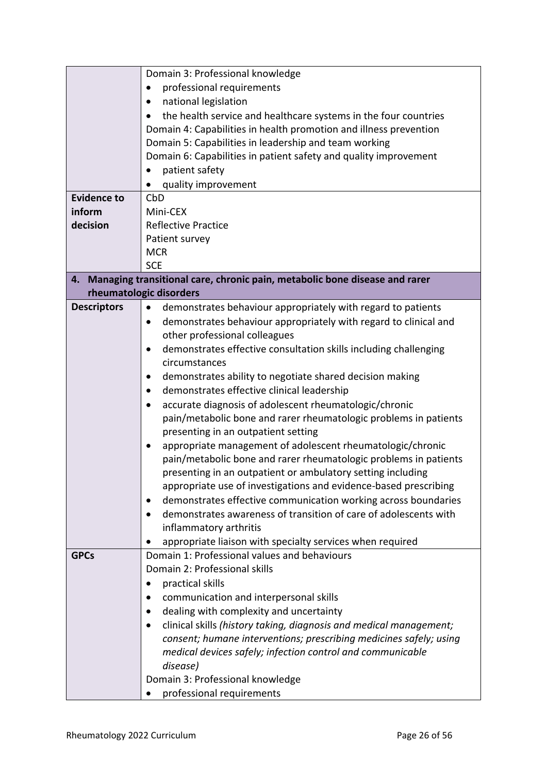|                    | Domain 3: Professional knowledge                                                |  |  |
|--------------------|---------------------------------------------------------------------------------|--|--|
|                    | professional requirements                                                       |  |  |
|                    | national legislation<br>$\bullet$                                               |  |  |
|                    | the health service and healthcare systems in the four countries                 |  |  |
|                    | Domain 4: Capabilities in health promotion and illness prevention               |  |  |
|                    | Domain 5: Capabilities in leadership and team working                           |  |  |
|                    | Domain 6: Capabilities in patient safety and quality improvement                |  |  |
|                    | patient safety                                                                  |  |  |
|                    | quality improvement                                                             |  |  |
| <b>Evidence to</b> | CbD                                                                             |  |  |
| inform             | Mini-CEX                                                                        |  |  |
| decision           | <b>Reflective Practice</b>                                                      |  |  |
|                    | Patient survey                                                                  |  |  |
|                    | <b>MCR</b>                                                                      |  |  |
|                    | <b>SCE</b>                                                                      |  |  |
| 4.                 | Managing transitional care, chronic pain, metabolic bone disease and rarer      |  |  |
|                    | rheumatologic disorders                                                         |  |  |
| <b>Descriptors</b> | demonstrates behaviour appropriately with regard to patients<br>$\bullet$       |  |  |
|                    | demonstrates behaviour appropriately with regard to clinical and<br>$\bullet$   |  |  |
|                    | other professional colleagues                                                   |  |  |
|                    | demonstrates effective consultation skills including challenging<br>$\bullet$   |  |  |
|                    | circumstances                                                                   |  |  |
|                    | demonstrates ability to negotiate shared decision making                        |  |  |
|                    | demonstrates effective clinical leadership<br>$\bullet$                         |  |  |
|                    | accurate diagnosis of adolescent rheumatologic/chronic<br>$\bullet$             |  |  |
|                    | pain/metabolic bone and rarer rheumatologic problems in patients                |  |  |
|                    | presenting in an outpatient setting                                             |  |  |
|                    | appropriate management of adolescent rheumatologic/chronic                      |  |  |
|                    | pain/metabolic bone and rarer rheumatologic problems in patients                |  |  |
|                    | presenting in an outpatient or ambulatory setting including                     |  |  |
|                    | appropriate use of investigations and evidence-based prescribing                |  |  |
|                    | demonstrates effective communication working across boundaries<br>٠             |  |  |
|                    | demonstrates awareness of transition of care of adolescents with                |  |  |
|                    | inflammatory arthritis                                                          |  |  |
|                    | appropriate liaison with specialty services when required                       |  |  |
| <b>GPCs</b>        | Domain 1: Professional values and behaviours                                    |  |  |
|                    | Domain 2: Professional skills                                                   |  |  |
|                    | practical skills                                                                |  |  |
|                    | communication and interpersonal skills                                          |  |  |
|                    | dealing with complexity and uncertainty                                         |  |  |
|                    | clinical skills (history taking, diagnosis and medical management;<br>$\bullet$ |  |  |
|                    | consent; humane interventions; prescribing medicines safely; using              |  |  |
|                    | medical devices safely; infection control and communicable                      |  |  |
|                    | disease)                                                                        |  |  |
|                    | Domain 3: Professional knowledge                                                |  |  |
|                    | professional requirements                                                       |  |  |
|                    |                                                                                 |  |  |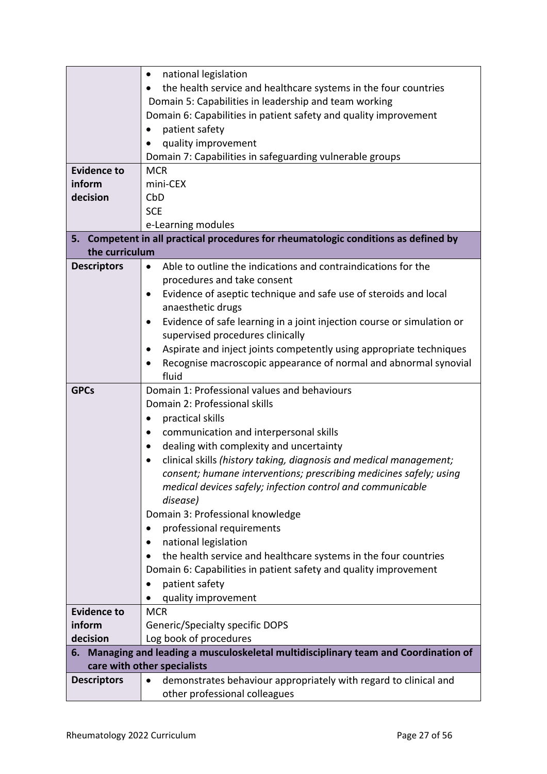|                    | national legislation<br>$\bullet$                                                    |  |
|--------------------|--------------------------------------------------------------------------------------|--|
|                    | the health service and healthcare systems in the four countries                      |  |
|                    | Domain 5: Capabilities in leadership and team working                                |  |
|                    | Domain 6: Capabilities in patient safety and quality improvement                     |  |
|                    | patient safety                                                                       |  |
|                    | quality improvement                                                                  |  |
|                    | Domain 7: Capabilities in safeguarding vulnerable groups                             |  |
| <b>Evidence to</b> | <b>MCR</b>                                                                           |  |
| inform             | mini-CEX                                                                             |  |
| decision           | CbD                                                                                  |  |
|                    | <b>SCE</b>                                                                           |  |
|                    | e-Learning modules                                                                   |  |
|                    | 5. Competent in all practical procedures for rheumatologic conditions as defined by  |  |
| the curriculum     |                                                                                      |  |
| <b>Descriptors</b> | Able to outline the indications and contraindications for the<br>$\bullet$           |  |
|                    | procedures and take consent                                                          |  |
|                    | Evidence of aseptic technique and safe use of steroids and local<br>$\bullet$        |  |
|                    | anaesthetic drugs                                                                    |  |
|                    | Evidence of safe learning in a joint injection course or simulation or               |  |
|                    | supervised procedures clinically                                                     |  |
|                    | Aspirate and inject joints competently using appropriate techniques                  |  |
|                    | Recognise macroscopic appearance of normal and abnormal synovial                     |  |
|                    | fluid                                                                                |  |
| <b>GPCs</b>        | Domain 1: Professional values and behaviours                                         |  |
|                    | Domain 2: Professional skills                                                        |  |
|                    | practical skills<br>$\bullet$                                                        |  |
|                    | communication and interpersonal skills<br>$\bullet$                                  |  |
|                    | dealing with complexity and uncertainty                                              |  |
|                    | clinical skills (history taking, diagnosis and medical management;                   |  |
|                    | consent; humane interventions; prescribing medicines safely; using                   |  |
|                    | medical devices safely; infection control and communicable                           |  |
|                    | disease)                                                                             |  |
|                    | Domain 3: Professional knowledge                                                     |  |
|                    | professional requirements                                                            |  |
|                    | national legislation                                                                 |  |
|                    | the health service and healthcare systems in the four countries                      |  |
|                    | Domain 6: Capabilities in patient safety and quality improvement                     |  |
|                    | patient safety                                                                       |  |
|                    | quality improvement                                                                  |  |
| <b>Evidence to</b> | <b>MCR</b>                                                                           |  |
| inform             | <b>Generic/Specialty specific DOPS</b>                                               |  |
| decision           | Log book of procedures                                                               |  |
|                    | 6. Managing and leading a musculoskeletal multidisciplinary team and Coordination of |  |
|                    | care with other specialists                                                          |  |
| <b>Descriptors</b> | demonstrates behaviour appropriately with regard to clinical and<br>$\bullet$        |  |
|                    | other professional colleagues                                                        |  |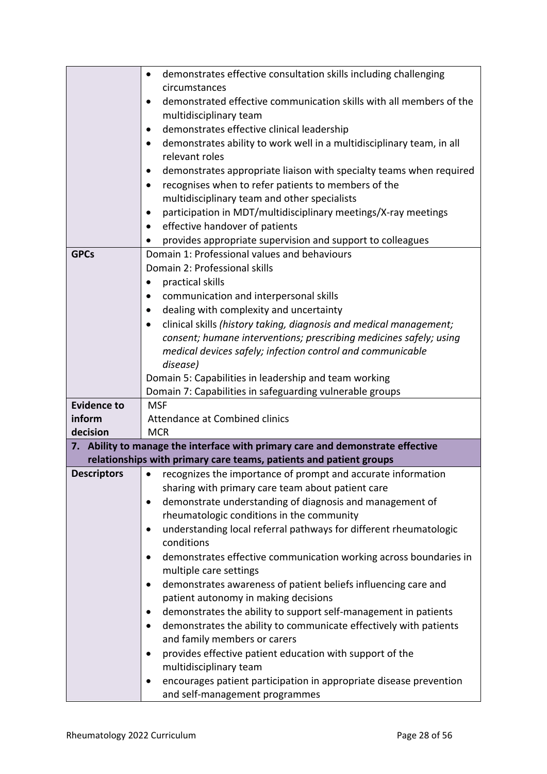|                    | demonstrates effective consultation skills including challenging                                                           |  |
|--------------------|----------------------------------------------------------------------------------------------------------------------------|--|
|                    | circumstances                                                                                                              |  |
|                    | demonstrated effective communication skills with all members of the                                                        |  |
|                    | multidisciplinary team                                                                                                     |  |
|                    | demonstrates effective clinical leadership<br>٠                                                                            |  |
|                    | demonstrates ability to work well in a multidisciplinary team, in all<br>relevant roles                                    |  |
|                    |                                                                                                                            |  |
|                    | demonstrates appropriate liaison with specialty teams when required<br>recognises when to refer patients to members of the |  |
|                    | $\bullet$<br>multidisciplinary team and other specialists                                                                  |  |
|                    | participation in MDT/multidisciplinary meetings/X-ray meetings                                                             |  |
|                    | effective handover of patients                                                                                             |  |
|                    | provides appropriate supervision and support to colleagues                                                                 |  |
| <b>GPCs</b>        | Domain 1: Professional values and behaviours                                                                               |  |
|                    | Domain 2: Professional skills                                                                                              |  |
|                    | practical skills                                                                                                           |  |
|                    | communication and interpersonal skills                                                                                     |  |
|                    | dealing with complexity and uncertainty                                                                                    |  |
|                    | clinical skills (history taking, diagnosis and medical management;                                                         |  |
|                    | consent; humane interventions; prescribing medicines safely; using                                                         |  |
|                    | medical devices safely; infection control and communicable                                                                 |  |
|                    | disease)                                                                                                                   |  |
|                    | Domain 5: Capabilities in leadership and team working                                                                      |  |
|                    | Domain 7: Capabilities in safeguarding vulnerable groups                                                                   |  |
| <b>Evidence to</b> | <b>MSF</b>                                                                                                                 |  |
| inform             | <b>Attendance at Combined clinics</b>                                                                                      |  |
| decision           | <b>MCR</b>                                                                                                                 |  |
|                    | 7. Ability to manage the interface with primary care and demonstrate effective                                             |  |
|                    | relationships with primary care teams, patients and patient groups                                                         |  |
| <b>Descriptors</b> | recognizes the importance of prompt and accurate information<br>$\bullet$                                                  |  |
|                    | sharing with primary care team about patient care<br>demonstrate understanding of diagnosis and management of              |  |
|                    | rheumatologic conditions in the community                                                                                  |  |
|                    | understanding local referral pathways for different rheumatologic                                                          |  |
|                    | conditions                                                                                                                 |  |
|                    | demonstrates effective communication working across boundaries in                                                          |  |
|                    | multiple care settings                                                                                                     |  |
|                    | demonstrates awareness of patient beliefs influencing care and                                                             |  |
|                    | patient autonomy in making decisions                                                                                       |  |
|                    | demonstrates the ability to support self-management in patients                                                            |  |
|                    | demonstrates the ability to communicate effectively with patients<br>$\bullet$                                             |  |
|                    | and family members or carers                                                                                               |  |
|                    | provides effective patient education with support of the                                                                   |  |
|                    | multidisciplinary team                                                                                                     |  |
|                    | encourages patient participation in appropriate disease prevention                                                         |  |
|                    | and self-management programmes                                                                                             |  |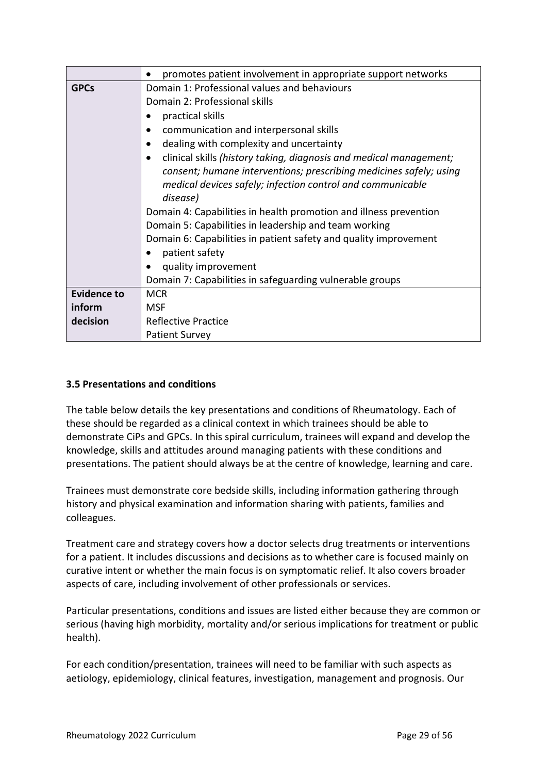|                    | promotes patient involvement in appropriate support networks       |  |  |
|--------------------|--------------------------------------------------------------------|--|--|
| <b>GPCs</b>        | Domain 1: Professional values and behaviours                       |  |  |
|                    | Domain 2: Professional skills                                      |  |  |
|                    | practical skills                                                   |  |  |
|                    | communication and interpersonal skills                             |  |  |
|                    | dealing with complexity and uncertainty                            |  |  |
|                    | clinical skills (history taking, diagnosis and medical management; |  |  |
|                    | consent; humane interventions; prescribing medicines safely; using |  |  |
|                    | medical devices safely; infection control and communicable         |  |  |
|                    | disease)                                                           |  |  |
|                    | Domain 4: Capabilities in health promotion and illness prevention  |  |  |
|                    | Domain 5: Capabilities in leadership and team working              |  |  |
|                    | Domain 6: Capabilities in patient safety and quality improvement   |  |  |
|                    | patient safety                                                     |  |  |
|                    | quality improvement                                                |  |  |
|                    | Domain 7: Capabilities in safeguarding vulnerable groups           |  |  |
| <b>Evidence to</b> | <b>MCR</b>                                                         |  |  |
| inform             | MSF                                                                |  |  |
| decision           | <b>Reflective Practice</b>                                         |  |  |
|                    | <b>Patient Survey</b>                                              |  |  |

## <span id="page-28-0"></span>**3.5 Presentations and conditions**

The table below details the key presentations and conditions of Rheumatology. Each of these should be regarded as a clinical context in which trainees should be able to demonstrate CiPs and GPCs. In this spiral curriculum, trainees will expand and develop the knowledge, skills and attitudes around managing patients with these conditions and presentations. The patient should always be at the centre of knowledge, learning and care.

Trainees must demonstrate core bedside skills, including information gathering through history and physical examination and information sharing with patients, families and colleagues.

Treatment care and strategy covers how a doctor selects drug treatments or interventions for a patient. It includes discussions and decisions as to whether care is focused mainly on curative intent or whether the main focus is on symptomatic relief. It also covers broader aspects of care, including involvement of other professionals or services.

Particular presentations, conditions and issues are listed either because they are common or serious (having high morbidity, mortality and/or serious implications for treatment or public health).

For each condition/presentation, trainees will need to be familiar with such aspects as aetiology, epidemiology, clinical features, investigation, management and prognosis. Our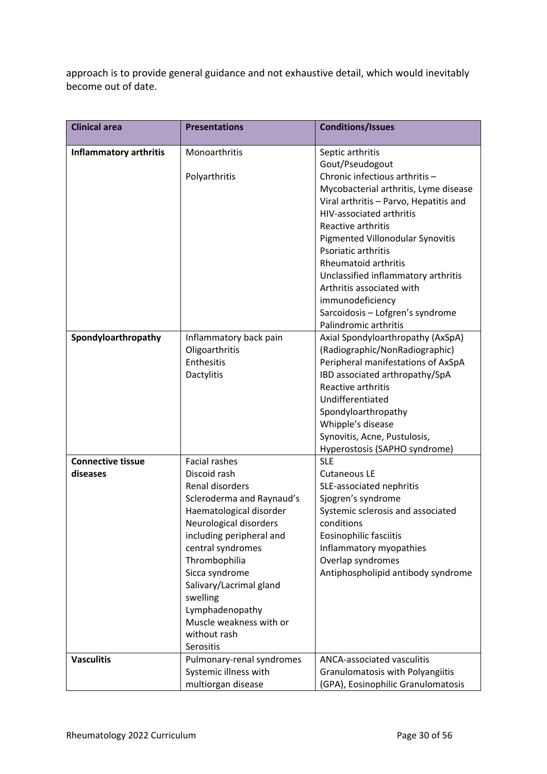approach is to provide general guidance and not exhaustive detail, which would inevitably become out of date.

| <b>Clinical area</b>          | <b>Presentations</b>      | <b>Conditions/Issues</b>               |
|-------------------------------|---------------------------|----------------------------------------|
| <b>Inflammatory arthritis</b> | Monoarthritis             | Septic arthritis                       |
|                               |                           | Gout/Pseudogout                        |
|                               | Polyarthritis             | Chronic infectious arthritis -         |
|                               |                           | Mycobacterial arthritis, Lyme disease  |
|                               |                           | Viral arthritis - Parvo, Hepatitis and |
|                               |                           | <b>HIV-associated arthritis</b>        |
|                               |                           | Reactive arthritis                     |
|                               |                           | Pigmented Villonodular Synovitis       |
|                               |                           | Psoriatic arthritis                    |
|                               |                           | <b>Rheumatoid arthritis</b>            |
|                               |                           | Unclassified inflammatory arthritis    |
|                               |                           | Arthritis associated with              |
|                               |                           | immunodeficiency                       |
|                               |                           | Sarcoidosis - Lofgren's syndrome       |
|                               |                           | Palindromic arthritis                  |
| Spondyloarthropathy           | Inflammatory back pain    | Axial Spondyloarthropathy (AxSpA)      |
|                               | Oligoarthritis            | (Radiographic/NonRadiographic)         |
|                               | Enthesitis                | Peripheral manifestations of AxSpA     |
|                               | Dactylitis                | IBD associated arthropathy/SpA         |
|                               |                           | Reactive arthritis                     |
|                               |                           | Undifferentiated                       |
|                               |                           | Spondyloarthropathy                    |
|                               |                           | Whipple's disease                      |
|                               |                           | Synovitis, Acne, Pustulosis,           |
|                               |                           | Hyperostosis (SAPHO syndrome)          |
| <b>Connective tissue</b>      | <b>Facial rashes</b>      | <b>SLE</b>                             |
| diseases                      | Discoid rash              | <b>Cutaneous LE</b>                    |
|                               | Renal disorders           | SLE-associated nephritis               |
|                               | Scleroderma and Raynaud's | Sjogren's syndrome                     |
|                               | Haematological disorder   | Systemic sclerosis and associated      |
|                               | Neurological disorders    | conditions                             |
|                               | including peripheral and  | Eosinophilic fasciitis                 |
|                               | central syndromes         | Inflammatory myopathies                |
|                               | Thrombophilia             | Overlap syndromes                      |
|                               | Sicca syndrome            | Antiphospholipid antibody syndrome     |
|                               | Salivary/Lacrimal gland   |                                        |
|                               | swelling                  |                                        |
|                               | Lymphadenopathy           |                                        |
|                               | Muscle weakness with or   |                                        |
|                               | without rash              |                                        |
|                               | Serositis                 |                                        |
| <b>Vasculitis</b>             | Pulmonary-renal syndromes | ANCA-associated vasculitis             |
|                               | Systemic illness with     | Granulomatosis with Polyangiitis       |
|                               | multiorgan disease        | (GPA), Eosinophilic Granulomatosis     |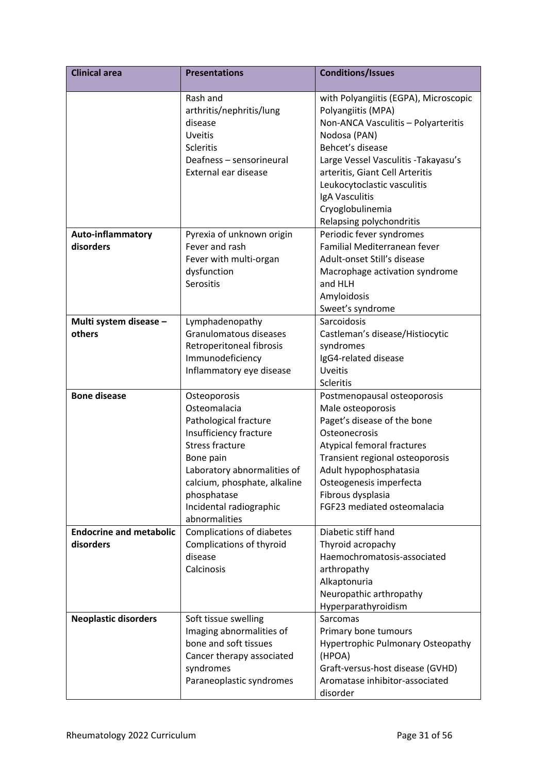| <b>Clinical area</b>                        | <b>Presentations</b>                                                                                                                                                                                                                             | <b>Conditions/Issues</b>                                                                                                                                                                                                                                                                                           |
|---------------------------------------------|--------------------------------------------------------------------------------------------------------------------------------------------------------------------------------------------------------------------------------------------------|--------------------------------------------------------------------------------------------------------------------------------------------------------------------------------------------------------------------------------------------------------------------------------------------------------------------|
|                                             | Rash and<br>arthritis/nephritis/lung<br>disease<br>Uveitis<br>Scleritis<br>Deafness - sensorineural<br>External ear disease                                                                                                                      | with Polyangiitis (EGPA), Microscopic<br>Polyangiitis (MPA)<br>Non-ANCA Vasculitis - Polyarteritis<br>Nodosa (PAN)<br>Behcet's disease<br>Large Vessel Vasculitis - Takayasu's<br>arteritis, Giant Cell Arteritis<br>Leukocytoclastic vasculitis<br>IgA Vasculitis<br>Cryoglobulinemia<br>Relapsing polychondritis |
| <b>Auto-inflammatory</b><br>disorders       | Pyrexia of unknown origin<br>Fever and rash<br>Fever with multi-organ<br>dysfunction<br>Serositis                                                                                                                                                | Periodic fever syndromes<br>Familial Mediterranean fever<br>Adult-onset Still's disease<br>Macrophage activation syndrome<br>and HLH<br>Amyloidosis<br>Sweet's syndrome                                                                                                                                            |
| Multi system disease -<br>others            | Lymphadenopathy<br>Granulomatous diseases<br>Retroperitoneal fibrosis<br>Immunodeficiency<br>Inflammatory eye disease                                                                                                                            | Sarcoidosis<br>Castleman's disease/Histiocytic<br>syndromes<br>IgG4-related disease<br><b>Uveitis</b><br>Scleritis                                                                                                                                                                                                 |
| <b>Bone disease</b>                         | Osteoporosis<br>Osteomalacia<br>Pathological fracture<br>Insufficiency fracture<br><b>Stress fracture</b><br>Bone pain<br>Laboratory abnormalities of<br>calcium, phosphate, alkaline<br>phosphatase<br>Incidental radiographic<br>abnormalities | Postmenopausal osteoporosis<br>Male osteoporosis<br>Paget's disease of the bone<br>Osteonecrosis<br>Atypical femoral fractures<br>Transient regional osteoporosis<br>Adult hypophosphatasia<br>Osteogenesis imperfecta<br>Fibrous dysplasia<br>FGF23 mediated osteomalacia                                         |
| <b>Endocrine and metabolic</b><br>disorders | <b>Complications of diabetes</b><br>Complications of thyroid<br>disease<br>Calcinosis                                                                                                                                                            | Diabetic stiff hand<br>Thyroid acropachy<br>Haemochromatosis-associated<br>arthropathy<br>Alkaptonuria<br>Neuropathic arthropathy<br>Hyperparathyroidism                                                                                                                                                           |
| <b>Neoplastic disorders</b>                 | Soft tissue swelling<br>Imaging abnormalities of<br>bone and soft tissues<br>Cancer therapy associated<br>syndromes<br>Paraneoplastic syndromes                                                                                                  | Sarcomas<br>Primary bone tumours<br><b>Hypertrophic Pulmonary Osteopathy</b><br>(HPOA)<br>Graft-versus-host disease (GVHD)<br>Aromatase inhibitor-associated<br>disorder                                                                                                                                           |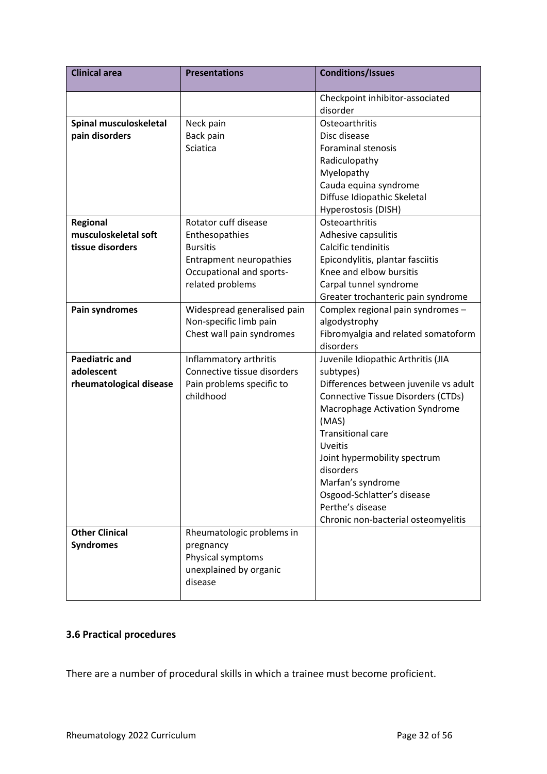| <b>Clinical area</b>    | <b>Presentations</b>           | <b>Conditions/Issues</b>                         |
|-------------------------|--------------------------------|--------------------------------------------------|
|                         |                                | Checkpoint inhibitor-associated                  |
|                         |                                | disorder                                         |
| Spinal musculoskeletal  | Neck pain                      | Osteoarthritis                                   |
| pain disorders          | Back pain                      | Disc disease                                     |
|                         | Sciatica                       | <b>Foraminal stenosis</b>                        |
|                         |                                | Radiculopathy                                    |
|                         |                                | Myelopathy                                       |
|                         |                                | Cauda equina syndrome                            |
|                         |                                | Diffuse Idiopathic Skeletal                      |
|                         |                                | Hyperostosis (DISH)                              |
| Regional                | Rotator cuff disease           | Osteoarthritis                                   |
| musculoskeletal soft    | Enthesopathies                 | Adhesive capsulitis                              |
| tissue disorders        | <b>Bursitis</b>                | Calcific tendinitis                              |
|                         | <b>Entrapment neuropathies</b> | Epicondylitis, plantar fasciitis                 |
|                         | Occupational and sports-       | Knee and elbow bursitis                          |
|                         | related problems               | Carpal tunnel syndrome                           |
|                         |                                | Greater trochanteric pain syndrome               |
| Pain syndromes          | Widespread generalised pain    | Complex regional pain syndromes -                |
|                         | Non-specific limb pain         | algodystrophy                                    |
|                         | Chest wall pain syndromes      | Fibromyalgia and related somatoform<br>disorders |
| <b>Paediatric and</b>   | Inflammatory arthritis         | Juvenile Idiopathic Arthritis (JIA               |
| adolescent              | Connective tissue disorders    | subtypes)                                        |
| rheumatological disease | Pain problems specific to      | Differences between juvenile vs adult            |
|                         | childhood                      | Connective Tissue Disorders (CTDs)               |
|                         |                                | Macrophage Activation Syndrome                   |
|                         |                                | (MAS)                                            |
|                         |                                | <b>Transitional care</b>                         |
|                         |                                | Uveitis                                          |
|                         |                                | Joint hypermobility spectrum                     |
|                         |                                | disorders                                        |
|                         |                                | Marfan's syndrome                                |
|                         |                                | Osgood-Schlatter's disease<br>Perthe's disease   |
|                         |                                | Chronic non-bacterial osteomyelitis              |
| <b>Other Clinical</b>   | Rheumatologic problems in      |                                                  |
| <b>Syndromes</b>        | pregnancy                      |                                                  |
|                         | Physical symptoms              |                                                  |
|                         | unexplained by organic         |                                                  |
|                         | disease                        |                                                  |
|                         |                                |                                                  |

# <span id="page-31-0"></span>**3.6 Practical procedures**

There are a number of procedural skills in which a trainee must become proficient.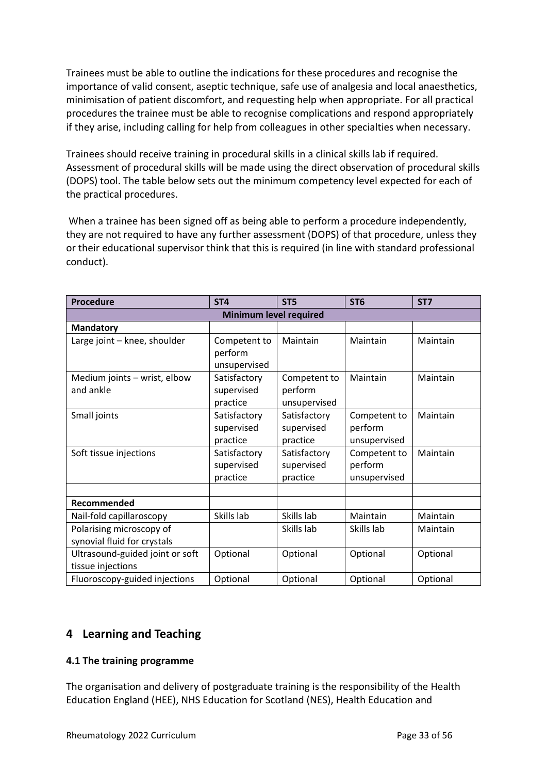Trainees must be able to outline the indications for these procedures and recognise the importance of valid consent, aseptic technique, safe use of analgesia and local anaesthetics, minimisation of patient discomfort, and requesting help when appropriate. For all practical procedures the trainee must be able to recognise complications and respond appropriately if they arise, including calling for help from colleagues in other specialties when necessary.

Trainees should receive training in procedural skills in a clinical skills lab if required. Assessment of procedural skills will be made using the direct observation of procedural skills (DOPS) tool. The table below sets out the minimum competency level expected for each of the practical procedures.

When a trainee has been signed off as being able to perform a procedure independently, they are not required to have any further assessment (DOPS) of that procedure, unless they or their educational supervisor think that this is required (in line with standard professional conduct).

| Procedure                                               | ST <sub>4</sub>                         | ST <sub>5</sub>                         | ST <sub>6</sub>                         | ST <sub>7</sub> |
|---------------------------------------------------------|-----------------------------------------|-----------------------------------------|-----------------------------------------|-----------------|
|                                                         | Minimum level required                  |                                         |                                         |                 |
| <b>Mandatory</b>                                        |                                         |                                         |                                         |                 |
| Large joint - knee, shoulder                            | Competent to<br>perform<br>unsupervised | Maintain                                | Maintain                                | Maintain        |
| Medium joints - wrist, elbow<br>and ankle               | Satisfactory<br>supervised<br>practice  | Competent to<br>perform<br>unsupervised | Maintain                                | Maintain        |
| Small joints                                            | Satisfactory<br>supervised<br>practice  | Satisfactory<br>supervised<br>practice  | Competent to<br>perform<br>unsupervised | Maintain        |
| Soft tissue injections                                  | Satisfactory<br>supervised<br>practice  | Satisfactory<br>supervised<br>practice  | Competent to<br>perform<br>unsupervised | Maintain        |
| Recommended                                             |                                         |                                         |                                         |                 |
| Nail-fold capillaroscopy                                | Skills lab                              | Skills lab                              | Maintain                                | Maintain        |
| Polarising microscopy of<br>synovial fluid for crystals |                                         | Skills lab                              | Skills lab                              | Maintain        |
| Ultrasound-guided joint or soft<br>tissue injections    | Optional                                | Optional                                | Optional                                | Optional        |
| Fluoroscopy-guided injections                           | Optional                                | Optional                                | Optional                                | Optional        |

# <span id="page-32-0"></span>**4 Learning and Teaching**

## <span id="page-32-1"></span>**4.1 The training programme**

The organisation and delivery of postgraduate training is the responsibility of the Health Education England (HEE), NHS Education for Scotland (NES), Health Education and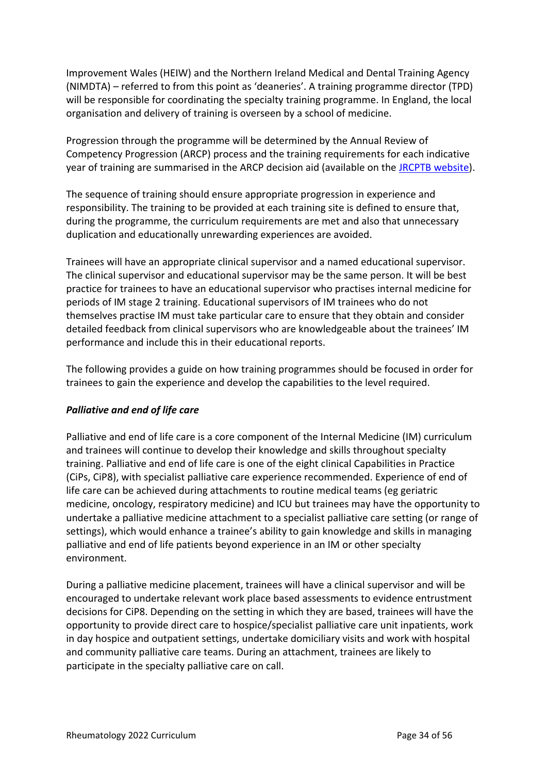Improvement Wales (HEIW) and the Northern Ireland Medical and Dental Training Agency (NIMDTA) – referred to from this point as 'deaneries'. A training programme director (TPD) will be responsible for coordinating the specialty training programme. In England, the local organisation and delivery of training is overseen by a school of medicine.

Progression through the programme will be determined by the Annual Review of Competency Progression (ARCP) process and the training requirements for each indicative year of training are summarised in the ARCP decision aid (available on the **JRCPTB website**).

The sequence of training should ensure appropriate progression in experience and responsibility. The training to be provided at each training site is defined to ensure that, during the programme, the curriculum requirements are met and also that unnecessary duplication and educationally unrewarding experiences are avoided.

Trainees will have an appropriate clinical supervisor and a named educational supervisor. The clinical supervisor and educational supervisor may be the same person. It will be best practice for trainees to have an educational supervisor who practises internal medicine for periods of IM stage 2 training. Educational supervisors of IM trainees who do not themselves practise IM must take particular care to ensure that they obtain and consider detailed feedback from clinical supervisors who are knowledgeable about the trainees' IM performance and include this in their educational reports.

The following provides a guide on how training programmes should be focused in order for trainees to gain the experience and develop the capabilities to the level required.

#### *Palliative and end of life care*

Palliative and end of life care is a core component of the Internal Medicine (IM) curriculum and trainees will continue to develop their knowledge and skills throughout specialty training. Palliative and end of life care is one of the eight clinical Capabilities in Practice (CiPs, CiP8), with specialist palliative care experience recommended. Experience of end of life care can be achieved during attachments to routine medical teams (eg geriatric medicine, oncology, respiratory medicine) and ICU but trainees may have the opportunity to undertake a palliative medicine attachment to a specialist palliative care setting (or range of settings), which would enhance a trainee's ability to gain knowledge and skills in managing palliative and end of life patients beyond experience in an IM or other specialty environment.

During a palliative medicine placement, trainees will have a clinical supervisor and will be encouraged to undertake relevant work place based assessments to evidence entrustment decisions for CiP8. Depending on the setting in which they are based, trainees will have the opportunity to provide direct care to hospice/specialist palliative care unit inpatients, work in day hospice and outpatient settings, undertake domiciliary visits and work with hospital and community palliative care teams. During an attachment, trainees are likely to participate in the specialty palliative care on call.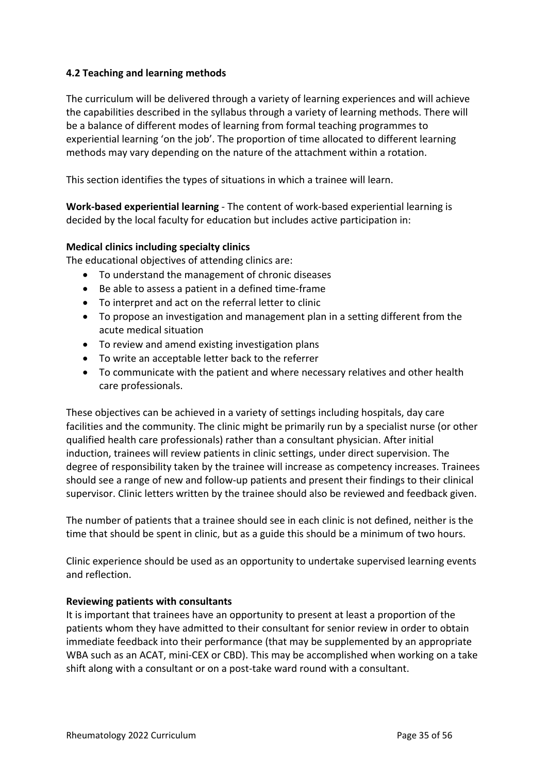## <span id="page-34-0"></span>**4.2 Teaching and learning methods**

The curriculum will be delivered through a variety of learning experiences and will achieve the capabilities described in the syllabus through a variety of learning methods. There will be a balance of different modes of learning from formal teaching programmes to experiential learning 'on the job'. The proportion of time allocated to different learning methods may vary depending on the nature of the attachment within a rotation.

This section identifies the types of situations in which a trainee will learn.

**Work-based experiential learning** - The content of work-based experiential learning is decided by the local faculty for education but includes active participation in:

## **Medical clinics including specialty clinics**

The educational objectives of attending clinics are:

- To understand the management of chronic diseases
- Be able to assess a patient in a defined time-frame
- To interpret and act on the referral letter to clinic
- To propose an investigation and management plan in a setting different from the acute medical situation
- To review and amend existing investigation plans
- To write an acceptable letter back to the referrer
- To communicate with the patient and where necessary relatives and other health care professionals.

These objectives can be achieved in a variety of settings including hospitals, day care facilities and the community. The clinic might be primarily run by a specialist nurse (or other qualified health care professionals) rather than a consultant physician. After initial induction, trainees will review patients in clinic settings, under direct supervision. The degree of responsibility taken by the trainee will increase as competency increases. Trainees should see a range of new and follow-up patients and present their findings to their clinical supervisor. Clinic letters written by the trainee should also be reviewed and feedback given.

The number of patients that a trainee should see in each clinic is not defined, neither is the time that should be spent in clinic, but as a guide this should be a minimum of two hours.

Clinic experience should be used as an opportunity to undertake supervised learning events and reflection.

#### **Reviewing patients with consultants**

It is important that trainees have an opportunity to present at least a proportion of the patients whom they have admitted to their consultant for senior review in order to obtain immediate feedback into their performance (that may be supplemented by an appropriate WBA such as an ACAT, mini-CEX or CBD). This may be accomplished when working on a take shift along with a consultant or on a post-take ward round with a consultant.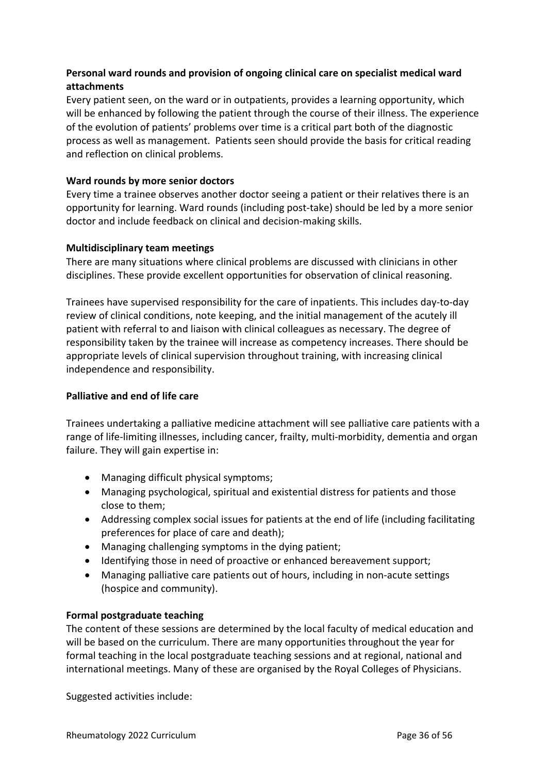# **Personal ward rounds and provision of ongoing clinical care on specialist medical ward attachments**

Every patient seen, on the ward or in outpatients, provides a learning opportunity, which will be enhanced by following the patient through the course of their illness. The experience of the evolution of patients' problems over time is a critical part both of the diagnostic process as well as management. Patients seen should provide the basis for critical reading and reflection on clinical problems.

## **Ward rounds by more senior doctors**

Every time a trainee observes another doctor seeing a patient or their relatives there is an opportunity for learning. Ward rounds (including post-take) should be led by a more senior doctor and include feedback on clinical and decision-making skills.

## **Multidisciplinary team meetings**

There are many situations where clinical problems are discussed with clinicians in other disciplines. These provide excellent opportunities for observation of clinical reasoning.

Trainees have supervised responsibility for the care of inpatients. This includes day-to-day review of clinical conditions, note keeping, and the initial management of the acutely ill patient with referral to and liaison with clinical colleagues as necessary. The degree of responsibility taken by the trainee will increase as competency increases. There should be appropriate levels of clinical supervision throughout training, with increasing clinical independence and responsibility.

#### **Palliative and end of life care**

Trainees undertaking a palliative medicine attachment will see palliative care patients with a range of life-limiting illnesses, including cancer, frailty, multi-morbidity, dementia and organ failure. They will gain expertise in:

- Managing difficult physical symptoms;
- Managing psychological, spiritual and existential distress for patients and those close to them;
- Addressing complex social issues for patients at the end of life (including facilitating preferences for place of care and death);
- Managing challenging symptoms in the dying patient;
- Identifying those in need of proactive or enhanced bereavement support;
- Managing palliative care patients out of hours, including in non-acute settings (hospice and community).

#### **Formal postgraduate teaching**

The content of these sessions are determined by the local faculty of medical education and will be based on the curriculum. There are many opportunities throughout the year for formal teaching in the local postgraduate teaching sessions and at regional, national and international meetings. Many of these are organised by the Royal Colleges of Physicians.

Suggested activities include: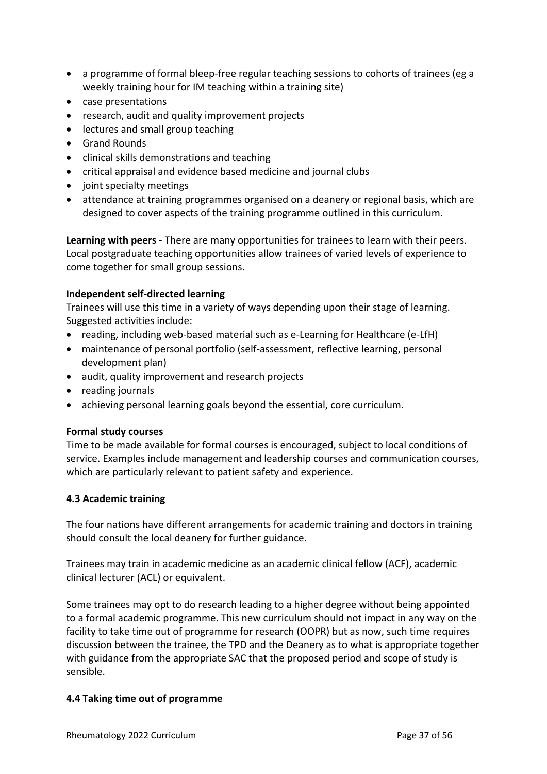- a programme of formal bleep-free regular teaching sessions to cohorts of trainees (eg a weekly training hour for IM teaching within a training site)
- case presentations
- research, audit and quality improvement projects
- lectures and small group teaching
- Grand Rounds
- clinical skills demonstrations and teaching
- critical appraisal and evidence based medicine and journal clubs
- joint specialty meetings
- attendance at training programmes organised on a deanery or regional basis, which are designed to cover aspects of the training programme outlined in this curriculum.

**Learning with peers** - There are many opportunities for trainees to learn with their peers. Local postgraduate teaching opportunities allow trainees of varied levels of experience to come together for small group sessions.

## **Independent self-directed learning**

Trainees will use this time in a variety of ways depending upon their stage of learning. Suggested activities include:

- reading, including web-based material such as e-Learning for Healthcare (e-LfH)
- maintenance of personal portfolio (self-assessment, reflective learning, personal development plan)
- audit, quality improvement and research projects
- reading journals
- achieving personal learning goals beyond the essential, core curriculum.

#### **Formal study courses**

Time to be made available for formal courses is encouraged, subject to local conditions of service. Examples include management and leadership courses and communication courses, which are particularly relevant to patient safety and experience.

#### <span id="page-36-0"></span>**4.3 Academic training**

The four nations have different arrangements for academic training and doctors in training should consult the local deanery for further guidance.

Trainees may train in academic medicine as an academic clinical fellow (ACF), academic clinical lecturer (ACL) or equivalent.

Some trainees may opt to do research leading to a higher degree without being appointed to a formal academic programme. This new curriculum should not impact in any way on the facility to take time out of programme for research (OOPR) but as now, such time requires discussion between the trainee, the TPD and the Deanery as to what is appropriate together with guidance from the appropriate SAC that the proposed period and scope of study is sensible.

#### <span id="page-36-1"></span>**4.4 Taking time out of programme**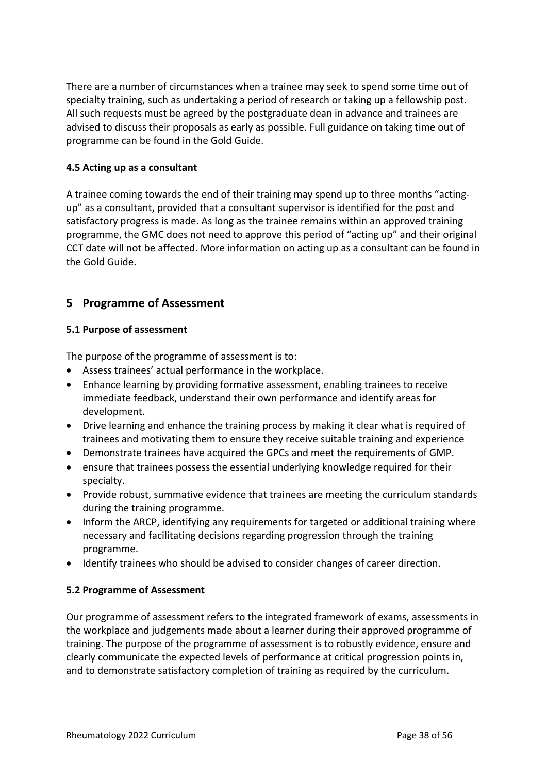There are a number of circumstances when a trainee may seek to spend some time out of specialty training, such as undertaking a period of research or taking up a fellowship post. All such requests must be agreed by the postgraduate dean in advance and trainees are advised to discuss their proposals as early as possible. Full guidance on taking time out of programme can be found in the Gold Guide.

## <span id="page-37-0"></span>**4.5 Acting up as a consultant**

A trainee coming towards the end of their training may spend up to three months "actingup" as a consultant, provided that a consultant supervisor is identified for the post and satisfactory progress is made. As long as the trainee remains within an approved training programme, the GMC does not need to approve this period of "acting up" and their original CCT date will not be affected. More information on acting up as a consultant can be found in the Gold Guide.

# <span id="page-37-1"></span>**5 Programme of Assessment**

#### <span id="page-37-2"></span>**5.1 Purpose of assessment**

The purpose of the programme of assessment is to:

- Assess trainees' actual performance in the workplace.
- Enhance learning by providing formative assessment, enabling trainees to receive immediate feedback, understand their own performance and identify areas for development.
- Drive learning and enhance the training process by making it clear what is required of trainees and motivating them to ensure they receive suitable training and experience
- Demonstrate trainees have acquired the GPCs and meet the requirements of GMP.
- ensure that trainees possess the essential underlying knowledge required for their specialty.
- Provide robust, summative evidence that trainees are meeting the curriculum standards during the training programme.
- Inform the ARCP, identifying any requirements for targeted or additional training where necessary and facilitating decisions regarding progression through the training programme.
- Identify trainees who should be advised to consider changes of career direction.

#### <span id="page-37-3"></span>**5.2 Programme of Assessment**

Our programme of assessment refers to the integrated framework of exams, assessments in the workplace and judgements made about a learner during their approved programme of training. The purpose of the programme of assessment is to robustly evidence, ensure and clearly communicate the expected levels of performance at critical progression points in, and to demonstrate satisfactory completion of training as required by the curriculum.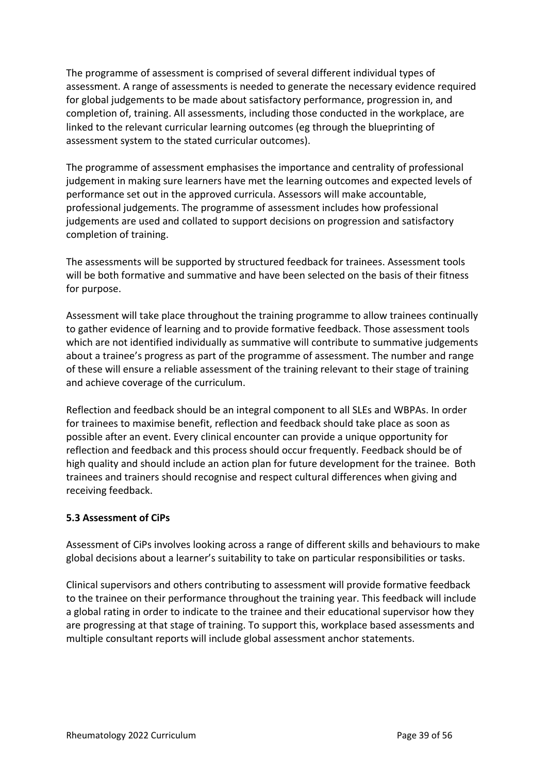The programme of assessment is comprised of several different individual types of assessment. A range of assessments is needed to generate the necessary evidence required for global judgements to be made about satisfactory performance, progression in, and completion of, training. All assessments, including those conducted in the workplace, are linked to the relevant curricular learning outcomes (eg through the blueprinting of assessment system to the stated curricular outcomes).

The programme of assessment emphasises the importance and centrality of professional judgement in making sure learners have met the learning outcomes and expected levels of performance set out in the approved curricula. Assessors will make accountable, professional judgements. The programme of assessment includes how professional judgements are used and collated to support decisions on progression and satisfactory completion of training.

The assessments will be supported by structured feedback for trainees. Assessment tools will be both formative and summative and have been selected on the basis of their fitness for purpose.

Assessment will take place throughout the training programme to allow trainees continually to gather evidence of learning and to provide formative feedback. Those assessment tools which are not identified individually as summative will contribute to summative judgements about a trainee's progress as part of the programme of assessment. The number and range of these will ensure a reliable assessment of the training relevant to their stage of training and achieve coverage of the curriculum.

Reflection and feedback should be an integral component to all SLEs and WBPAs. In order for trainees to maximise benefit, reflection and feedback should take place as soon as possible after an event. Every clinical encounter can provide a unique opportunity for reflection and feedback and this process should occur frequently. Feedback should be of high quality and should include an action plan for future development for the trainee. Both trainees and trainers should recognise and respect cultural differences when giving and receiving feedback.

## <span id="page-38-0"></span>**5.3 Assessment of CiPs**

Assessment of CiPs involves looking across a range of different skills and behaviours to make global decisions about a learner's suitability to take on particular responsibilities or tasks.

Clinical supervisors and others contributing to assessment will provide formative feedback to the trainee on their performance throughout the training year. This feedback will include a global rating in order to indicate to the trainee and their educational supervisor how they are progressing at that stage of training. To support this, workplace based assessments and multiple consultant reports will include global assessment anchor statements.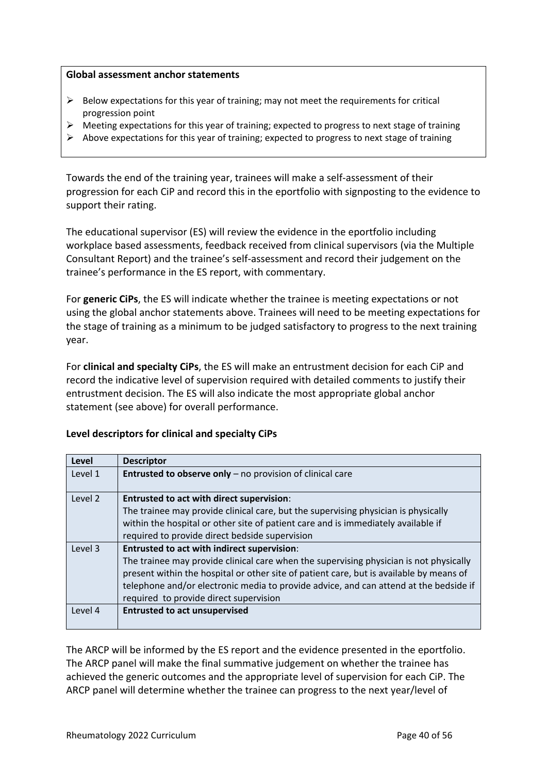#### **Global assessment anchor statements**

- $\triangleright$  Below expectations for this year of training; may not meet the requirements for critical progression point
- $\triangleright$  Meeting expectations for this year of training; expected to progress to next stage of training
- ➢ Above expectations for this year of training; expected to progress to next stage of training

Towards the end of the training year, trainees will make a self-assessment of their progression for each CiP and record this in the eportfolio with signposting to the evidence to support their rating.

The educational supervisor (ES) will review the evidence in the eportfolio including workplace based assessments, feedback received from clinical supervisors (via the Multiple Consultant Report) and the trainee's self-assessment and record their judgement on the trainee's performance in the ES report, with commentary.

For **generic CiPs**, the ES will indicate whether the trainee is meeting expectations or not using the global anchor statements above. Trainees will need to be meeting expectations for the stage of training as a minimum to be judged satisfactory to progress to the next training year.

For **clinical and specialty CiPs**, the ES will make an entrustment decision for each CiP and record the indicative level of supervision required with detailed comments to justify their entrustment decision. The ES will also indicate the most appropriate global anchor statement (see above) for overall performance.

#### **Level descriptors for clinical and specialty CiPs**

| Level   | <b>Descriptor</b>                                                                       |
|---------|-----------------------------------------------------------------------------------------|
| Level 1 | Entrusted to observe only - no provision of clinical care                               |
| Level 2 | <b>Entrusted to act with direct supervision:</b>                                        |
|         | The trainee may provide clinical care, but the supervising physician is physically      |
|         | within the hospital or other site of patient care and is immediately available if       |
|         | required to provide direct bedside supervision                                          |
| Level 3 | <b>Entrusted to act with indirect supervision:</b>                                      |
|         | The trainee may provide clinical care when the supervising physician is not physically  |
|         | present within the hospital or other site of patient care, but is available by means of |
|         | telephone and/or electronic media to provide advice, and can attend at the bedside if   |
|         | required to provide direct supervision                                                  |
| Level 4 | <b>Entrusted to act unsupervised</b>                                                    |
|         |                                                                                         |

The ARCP will be informed by the ES report and the evidence presented in the eportfolio. The ARCP panel will make the final summative judgement on whether the trainee has achieved the generic outcomes and the appropriate level of supervision for each CiP. The ARCP panel will determine whether the trainee can progress to the next year/level of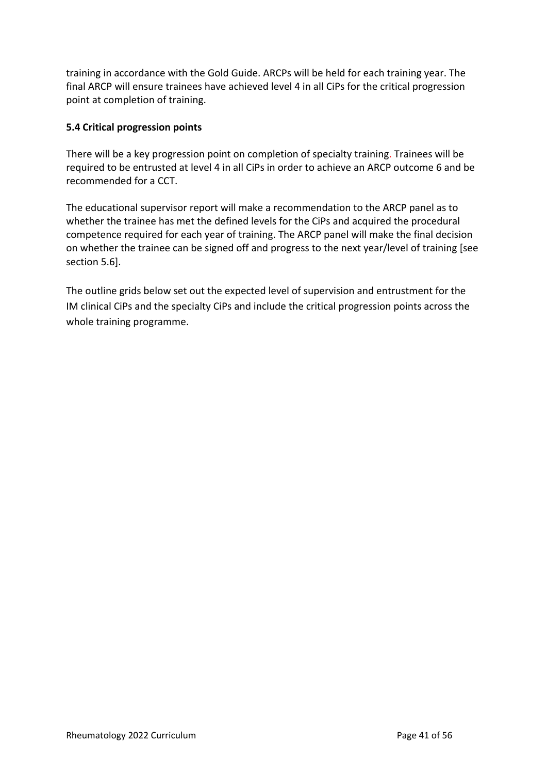training in accordance with the Gold Guide. ARCPs will be held for each training year. The final ARCP will ensure trainees have achieved level 4 in all CiPs for the critical progression point at completion of training.

## <span id="page-40-0"></span>**5.4 Critical progression points**

There will be a key progression point on completion of specialty training. Trainees will be required to be entrusted at level 4 in all CiPs in order to achieve an ARCP outcome 6 and be recommended for a CCT.

The educational supervisor report will make a recommendation to the ARCP panel as to whether the trainee has met the defined levels for the CiPs and acquired the procedural competence required for each year of training. The ARCP panel will make the final decision on whether the trainee can be signed off and progress to the next year/level of training [see section 5.6].

The outline grids below set out the expected level of supervision and entrustment for the IM clinical CiPs and the specialty CiPs and include the critical progression points across the whole training programme.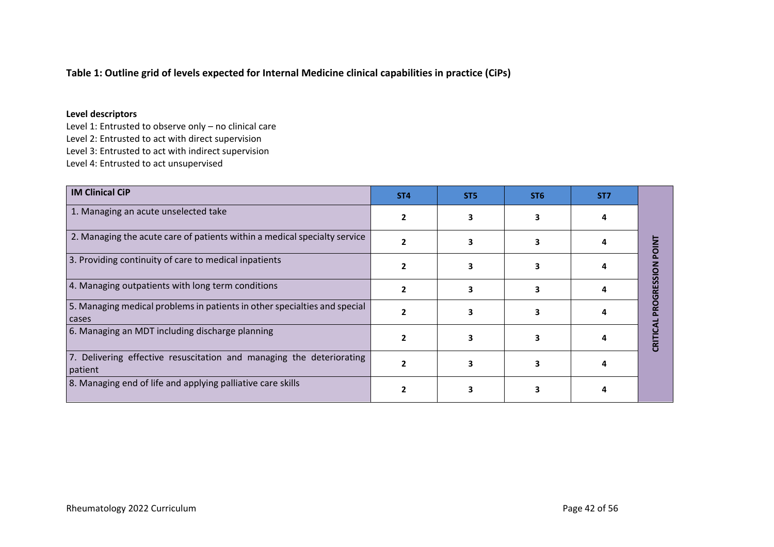## **Table 1: Outline grid of levels expected for Internal Medicine clinical capabilities in practice (CiPs)**

#### **Level descriptors**

Level 1: Entrusted to observe only – no clinical care Level 2: Entrusted to act with direct supervision Level 3: Entrusted to act with indirect supervision Level 4: Entrusted to act unsupervised

| <b>IM Clinical CiP</b>                                                             | ST <sub>4</sub> | ST <sub>5</sub> | ST <sub>6</sub> | ST <sub>7</sub> |   |
|------------------------------------------------------------------------------------|-----------------|-----------------|-----------------|-----------------|---|
| 1. Managing an acute unselected take                                               |                 |                 |                 |                 |   |
| 2. Managing the acute care of patients within a medical specialty service          |                 |                 |                 |                 |   |
| 3. Providing continuity of care to medical inpatients                              |                 |                 |                 |                 |   |
| 4. Managing outpatients with long term conditions                                  |                 |                 |                 |                 | œ |
| 5. Managing medical problems in patients in other specialties and special<br>cases |                 |                 |                 |                 |   |
| 6. Managing an MDT including discharge planning                                    |                 |                 |                 |                 | ឨ |
| 7. Delivering effective resuscitation and managing the deteriorating<br>patient    |                 |                 |                 |                 |   |
| 8. Managing end of life and applying palliative care skills                        |                 |                 |                 |                 |   |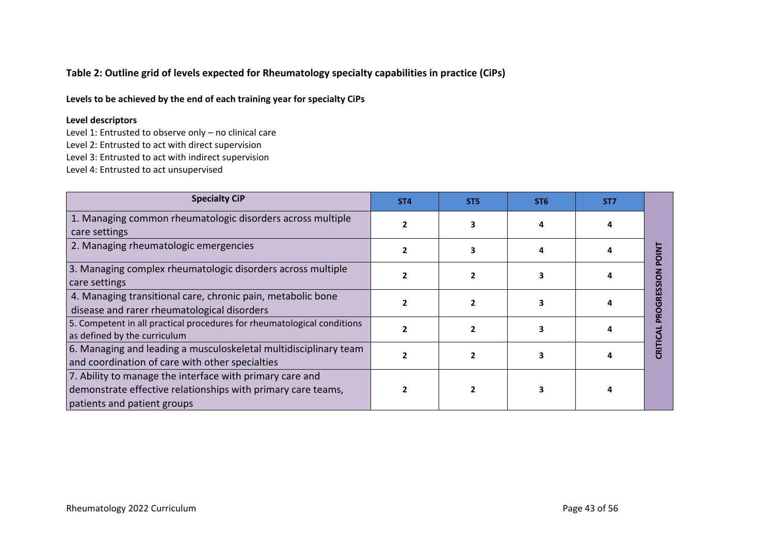## **Table 2: Outline grid of levels expected for Rheumatology specialty capabilities in practice (CiPs)**

**Levels to be achieved by the end of each training year for specialty CiPs**

#### **Level descriptors**

Level 1: Entrusted to observe only – no clinical care

Level 2: Entrusted to act with direct supervision

Level 3: Entrusted to act with indirect supervision

Level 4: Entrusted to act unsupervised

| <b>Specialty CiP</b>                                                                                                                                    | ST <sub>4</sub> | ST <sub>5</sub> | ST <sub>6</sub> | ST <sub>7</sub> |  |
|---------------------------------------------------------------------------------------------------------------------------------------------------------|-----------------|-----------------|-----------------|-----------------|--|
| 1. Managing common rheumatologic disorders across multiple<br>care settings                                                                             |                 |                 |                 |                 |  |
| 2. Managing rheumatologic emergencies                                                                                                                   |                 |                 |                 |                 |  |
| 3. Managing complex rheumatologic disorders across multiple<br>care settings                                                                            |                 |                 |                 |                 |  |
| 4. Managing transitional care, chronic pain, metabolic bone<br>disease and rarer rheumatological disorders                                              |                 |                 |                 |                 |  |
| 5. Competent in all practical procedures for rheumatological conditions<br>as defined by the curriculum                                                 |                 |                 |                 |                 |  |
| 6. Managing and leading a musculoskeletal multidisciplinary team<br>and coordination of care with other specialties                                     |                 |                 |                 |                 |  |
| 7. Ability to manage the interface with primary care and<br>demonstrate effective relationships with primary care teams,<br>patients and patient groups |                 |                 |                 |                 |  |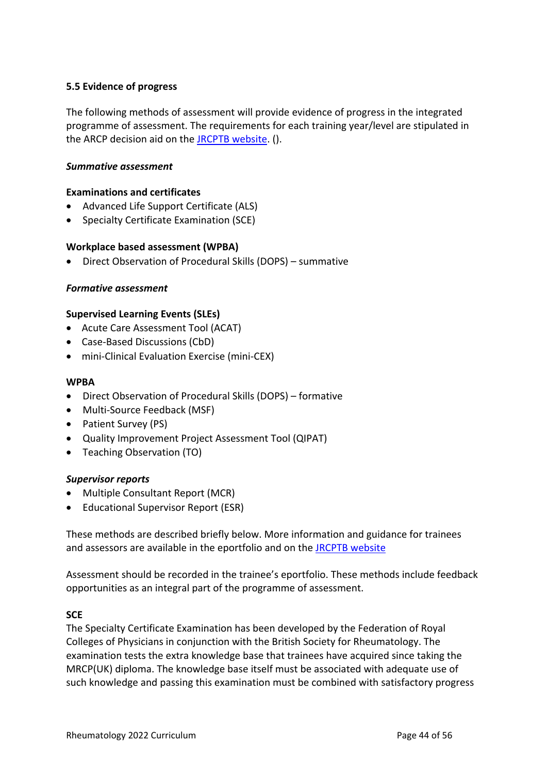## <span id="page-43-0"></span>**5.5 Evidence of progress**

The following methods of assessment will provide evidence of progress in the integrated programme of assessment. The requirements for each training year/level are stipulated in the ARCP decision aid on the [JRCPTB website.](http://www.jrcptb.org.uk/) ().

#### *Summative assessment*

#### **Examinations and certificates**

- Advanced Life Support Certificate (ALS)
- Specialty Certificate Examination (SCE)

#### **Workplace based assessment (WPBA)**

• Direct Observation of Procedural Skills (DOPS) – summative

#### *Formative assessment*

#### **Supervised Learning Events (SLEs)**

- Acute Care Assessment Tool (ACAT)
- Case-Based Discussions (CbD)
- mini-Clinical Evaluation Exercise (mini-CEX)

#### **WPBA**

- Direct Observation of Procedural Skills (DOPS) formative
- Multi-Source Feedback (MSF)
- Patient Survey (PS)
- Quality Improvement Project Assessment Tool (QIPAT)
- Teaching Observation (TO)

#### *Supervisor reports*

- Multiple Consultant Report (MCR)
- Educational Supervisor Report (ESR)

These methods are described briefly below. More information and guidance for trainees and assessors are available in the eportfolio and on the [JRCPTB website](http://www.jrcptb.org.uk/)

Assessment should be recorded in the trainee's eportfolio. These methods include feedback opportunities as an integral part of the programme of assessment.

#### **SCE**

The Specialty Certificate Examination has been developed by the Federation of Royal Colleges of Physicians in conjunction with the British Society for Rheumatology. The examination tests the extra knowledge base that trainees have acquired since taking the MRCP(UK) diploma. The knowledge base itself must be associated with adequate use of such knowledge and passing this examination must be combined with satisfactory progress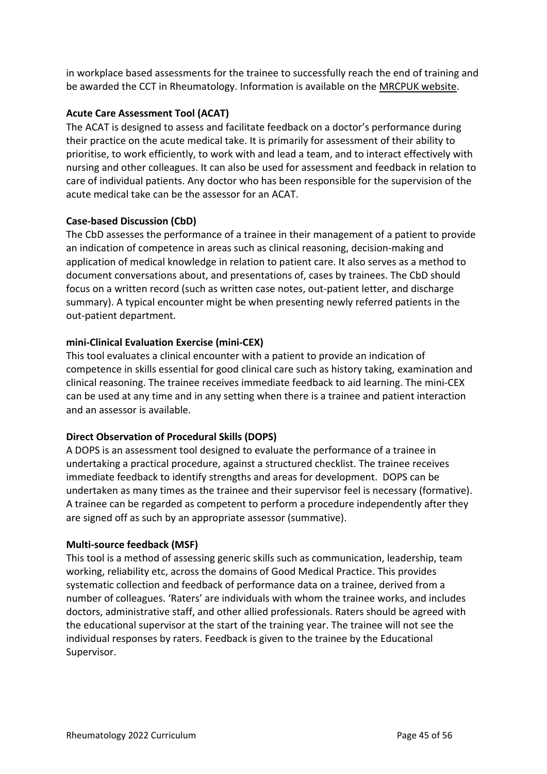in workplace based assessments for the trainee to successfully reach the end of training and be awarded the CCT in Rheumatology. Information is available on th[e MRCPUK website.](https://www.mrcpuk.org/mrcpuk-examinations/specialty-certificate-examinations/specialties/respiratory-medicine)

## **Acute Care Assessment Tool (ACAT)**

The ACAT is designed to assess and facilitate feedback on a doctor's performance during their practice on the acute medical take. It is primarily for assessment of their ability to prioritise, to work efficiently, to work with and lead a team, and to interact effectively with nursing and other colleagues. It can also be used for assessment and feedback in relation to care of individual patients. Any doctor who has been responsible for the supervision of the acute medical take can be the assessor for an ACAT.

## **Case-based Discussion (CbD)**

The CbD assesses the performance of a trainee in their management of a patient to provide an indication of competence in areas such as clinical reasoning, decision-making and application of medical knowledge in relation to patient care. It also serves as a method to document conversations about, and presentations of, cases by trainees. The CbD should focus on a written record (such as written case notes, out-patient letter, and discharge summary). A typical encounter might be when presenting newly referred patients in the out-patient department.

## **mini-Clinical Evaluation Exercise (mini-CEX)**

This tool evaluates a clinical encounter with a patient to provide an indication of competence in skills essential for good clinical care such as history taking, examination and clinical reasoning. The trainee receives immediate feedback to aid learning. The mini-CEX can be used at any time and in any setting when there is a trainee and patient interaction and an assessor is available.

## **Direct Observation of Procedural Skills (DOPS)**

A DOPS is an assessment tool designed to evaluate the performance of a trainee in undertaking a practical procedure, against a structured checklist. The trainee receives immediate feedback to identify strengths and areas for development. DOPS can be undertaken as many times as the trainee and their supervisor feel is necessary (formative). A trainee can be regarded as competent to perform a procedure independently after they are signed off as such by an appropriate assessor (summative).

#### **Multi-source feedback (MSF)**

This tool is a method of assessing generic skills such as communication, leadership, team working, reliability etc, across the domains of Good Medical Practice. This provides systematic collection and feedback of performance data on a trainee, derived from a number of colleagues. 'Raters' are individuals with whom the trainee works, and includes doctors, administrative staff, and other allied professionals. Raters should be agreed with the educational supervisor at the start of the training year. The trainee will not see the individual responses by raters. Feedback is given to the trainee by the Educational Supervisor.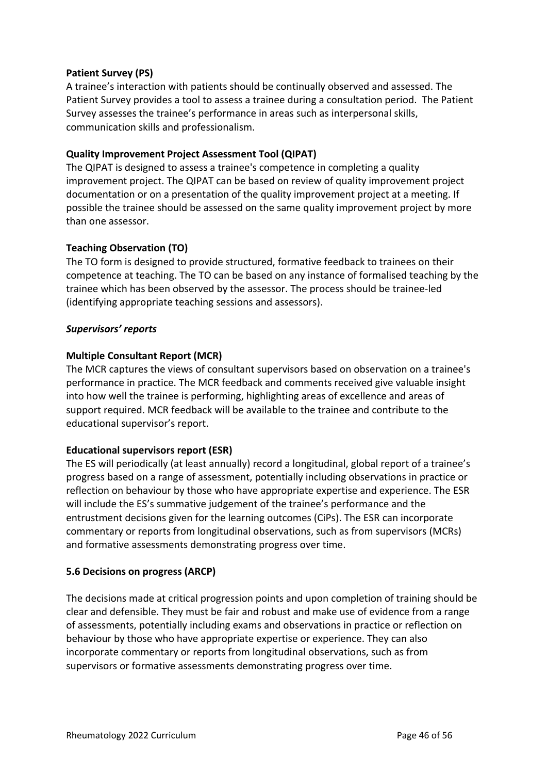## **Patient Survey (PS)**

A trainee's interaction with patients should be continually observed and assessed. The Patient Survey provides a tool to assess a trainee during a consultation period. The Patient Survey assesses the trainee's performance in areas such as interpersonal skills, communication skills and professionalism.

## **Quality Improvement Project Assessment Tool (QIPAT)**

The QIPAT is designed to assess a trainee's competence in completing a quality improvement project. The QIPAT can be based on review of quality improvement project documentation or on a presentation of the quality improvement project at a meeting. If possible the trainee should be assessed on the same quality improvement project by more than one assessor.

## **Teaching Observation (TO)**

The TO form is designed to provide structured, formative feedback to trainees on their competence at teaching. The TO can be based on any instance of formalised teaching by the trainee which has been observed by the assessor. The process should be trainee-led (identifying appropriate teaching sessions and assessors).

## *Supervisors' reports*

## **Multiple Consultant Report (MCR)**

The MCR captures the views of consultant supervisors based on observation on a trainee's performance in practice. The MCR feedback and comments received give valuable insight into how well the trainee is performing, highlighting areas of excellence and areas of support required. MCR feedback will be available to the trainee and contribute to the educational supervisor's report.

#### **Educational supervisors report (ESR)**

The ES will periodically (at least annually) record a longitudinal, global report of a trainee's progress based on a range of assessment, potentially including observations in practice or reflection on behaviour by those who have appropriate expertise and experience. The ESR will include the ES's summative judgement of the trainee's performance and the entrustment decisions given for the learning outcomes (CiPs). The ESR can incorporate commentary or reports from longitudinal observations, such as from supervisors (MCRs) and formative assessments demonstrating progress over time.

#### <span id="page-45-0"></span>**5.6 Decisions on progress (ARCP)**

The decisions made at critical progression points and upon completion of training should be clear and defensible. They must be fair and robust and make use of evidence from a range of assessments, potentially including exams and observations in practice or reflection on behaviour by those who have appropriate expertise or experience. They can also incorporate commentary or reports from longitudinal observations, such as from supervisors or formative assessments demonstrating progress over time.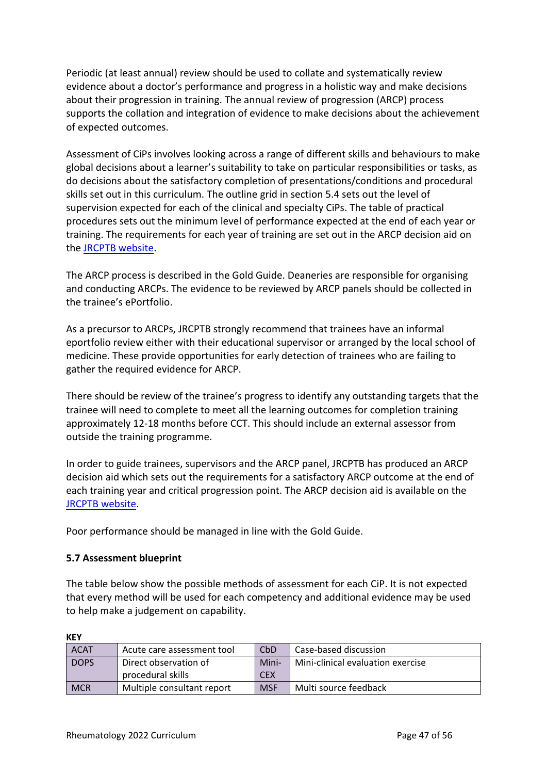Periodic (at least annual) review should be used to collate and systematically review evidence about a doctor's performance and progress in a holistic way and make decisions about their progression in training. The annual review of progression (ARCP) process supports the collation and integration of evidence to make decisions about the achievement of expected outcomes.

Assessment of CiPs involves looking across a range of different skills and behaviours to make global decisions about a learner's suitability to take on particular responsibilities or tasks, as do decisions about the satisfactory completion of presentations/conditions and procedural skills set out in this curriculum. The outline grid in section 5.4 sets out the level of supervision expected for each of the clinical and specialty CiPs. The table of practical procedures sets out the minimum level of performance expected at the end of each year or training. The requirements for each year of training are set out in the ARCP decision aid on the [JRCPTB website.](http://www.jrcptb.org.uk/)

The ARCP process is described in the Gold Guide. Deaneries are responsible for organising and conducting ARCPs. The evidence to be reviewed by ARCP panels should be collected in the trainee's ePortfolio.

As a precursor to ARCPs, JRCPTB strongly recommend that trainees have an informal eportfolio review either with their educational supervisor or arranged by the local school of medicine. These provide opportunities for early detection of trainees who are failing to gather the required evidence for ARCP.

There should be review of the trainee's progress to identify any outstanding targets that the trainee will need to complete to meet all the learning outcomes for completion training approximately 12-18 months before CCT. This should include an external assessor from outside the training programme.

In order to guide trainees, supervisors and the ARCP panel, JRCPTB has produced an ARCP decision aid which sets out the requirements for a satisfactory ARCP outcome at the end of each training year and critical progression point. The ARCP decision aid is available on the [JRCPTB website.](http://www.jrcptb.org.uk/)

Poor performance should be managed in line with the Gold Guide.

## <span id="page-46-0"></span>**5.7 Assessment blueprint**

The table below show the possible methods of assessment for each CiP. It is not expected that every method will be used for each competency and additional evidence may be used to help make a judgement on capability.

| 11 L L      |                            |            |                                   |
|-------------|----------------------------|------------|-----------------------------------|
| <b>ACAT</b> | Acute care assessment tool | CbD        | Case-based discussion             |
| <b>DOPS</b> | Direct observation of      | Mini-      | Mini-clinical evaluation exercise |
|             | procedural skills          | <b>CEX</b> |                                   |
| <b>MCR</b>  | Multiple consultant report | <b>MSF</b> | Multi source feedback             |

**KEY**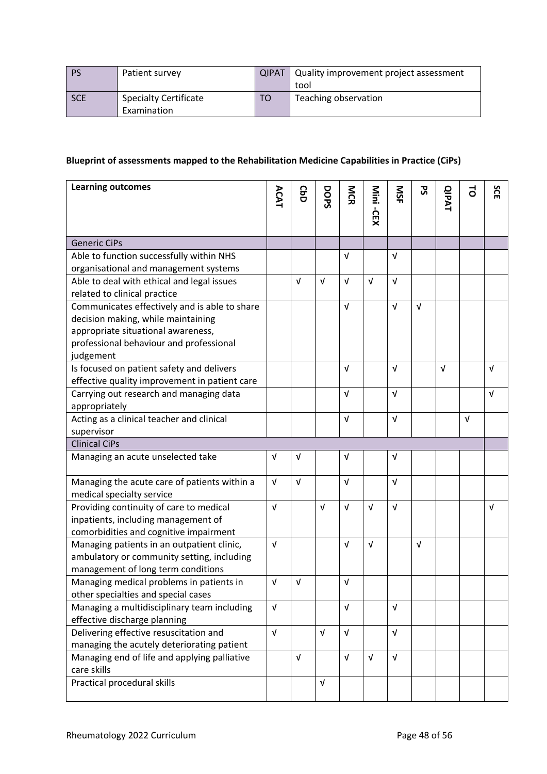|            | Patient survey               | <b>QIPAT</b> | Quality improvement project assessment |
|------------|------------------------------|--------------|----------------------------------------|
|            |                              |              | tool                                   |
| <b>SCE</b> | <b>Specialty Certificate</b> | TO           | Teaching observation                   |
|            | Examination                  |              |                                        |

# **Blueprint of assessments mapped to the Rehabilitation Medicine Capabilities in Practice (CiPs)**

| <b>Learning outcomes</b>                      |            |            |            |             |            |            | ჯ<br>ა     |              | $\vec{c}$  | SCE        |
|-----------------------------------------------|------------|------------|------------|-------------|------------|------------|------------|--------------|------------|------------|
|                                               | ACAT       | <b>G</b>   | DOPS       | <b>N</b> CR | Mini -CEX  | SK         |            | <b>QIPAT</b> |            |            |
|                                               |            |            |            |             |            |            |            |              |            |            |
|                                               |            |            |            |             |            |            |            |              |            |            |
| <b>Generic CiPs</b>                           |            |            |            |             |            |            |            |              |            |            |
| Able to function successfully within NHS      |            |            |            | $\sqrt{ }$  |            | $\sqrt{ }$ |            |              |            |            |
| organisational and management systems         |            |            |            |             |            |            |            |              |            |            |
| Able to deal with ethical and legal issues    |            | $\sqrt{ }$ | $\sqrt{ }$ | $\sqrt{ }$  | $\sqrt{ }$ | $\sqrt{ }$ |            |              |            |            |
| related to clinical practice                  |            |            |            |             |            |            |            |              |            |            |
| Communicates effectively and is able to share |            |            |            | $\sqrt{ }$  |            | $\sqrt{ }$ | $\sqrt{ }$ |              |            |            |
| decision making, while maintaining            |            |            |            |             |            |            |            |              |            |            |
| appropriate situational awareness,            |            |            |            |             |            |            |            |              |            |            |
| professional behaviour and professional       |            |            |            |             |            |            |            |              |            |            |
| judgement                                     |            |            |            |             |            |            |            |              |            |            |
| Is focused on patient safety and delivers     |            |            |            | v           |            | $\sqrt{ }$ |            | $\sqrt{ }$   |            | $\sqrt{ }$ |
| effective quality improvement in patient care |            |            |            |             |            |            |            |              |            |            |
| Carrying out research and managing data       |            |            |            | $\sqrt{ }$  |            | $\sqrt{ }$ |            |              |            | $\sqrt{ }$ |
| appropriately                                 |            |            |            |             |            |            |            |              |            |            |
| Acting as a clinical teacher and clinical     |            |            |            | $\sqrt{ }$  |            | $\sqrt{ }$ |            |              | $\sqrt{ }$ |            |
| supervisor                                    |            |            |            |             |            |            |            |              |            |            |
| <b>Clinical CiPs</b>                          |            |            |            |             |            |            |            |              |            |            |
| Managing an acute unselected take             | $\sqrt{ }$ | $\sqrt{ }$ |            | $\sqrt{ }$  |            | V          |            |              |            |            |
|                                               |            |            |            |             |            |            |            |              |            |            |
| Managing the acute care of patients within a  | $\sqrt{ }$ | $\sqrt{ }$ |            | $\sqrt{ }$  |            | $\sqrt{ }$ |            |              |            |            |
| medical specialty service                     |            |            |            |             |            |            |            |              |            |            |
| Providing continuity of care to medical       | $\sqrt{ }$ |            | $\sqrt{ }$ | $\sqrt{ }$  | $\sqrt{ }$ | $\sqrt{ }$ |            |              |            | $\sqrt{ }$ |
| inpatients, including management of           |            |            |            |             |            |            |            |              |            |            |
| comorbidities and cognitive impairment        |            |            |            |             |            |            |            |              |            |            |
| Managing patients in an outpatient clinic,    | $\sqrt{ }$ |            |            | $\sqrt{ }$  | $\sqrt{ }$ |            | $\sqrt{ }$ |              |            |            |
| ambulatory or community setting, including    |            |            |            |             |            |            |            |              |            |            |
| management of long term conditions            |            |            |            |             |            |            |            |              |            |            |
| Managing medical problems in patients in      | $\sqrt{ }$ | V          |            | V           |            |            |            |              |            |            |
| other specialties and special cases           |            |            |            |             |            |            |            |              |            |            |
| Managing a multidisciplinary team including   | $\sqrt{ }$ |            |            | $\sqrt{ }$  |            | $\sqrt{ }$ |            |              |            |            |
| effective discharge planning                  |            |            |            |             |            |            |            |              |            |            |
| Delivering effective resuscitation and        | $\sqrt{ }$ |            | V          | $\sqrt{ }$  |            | $\sqrt{ }$ |            |              |            |            |
| managing the acutely deteriorating patient    |            |            |            |             |            |            |            |              |            |            |
| Managing end of life and applying palliative  |            | $\sqrt{ }$ |            | $\sqrt{ }$  | $\sqrt{ }$ | $\sqrt{ }$ |            |              |            |            |
| care skills                                   |            |            |            |             |            |            |            |              |            |            |
| Practical procedural skills                   |            |            | V          |             |            |            |            |              |            |            |
|                                               |            |            |            |             |            |            |            |              |            |            |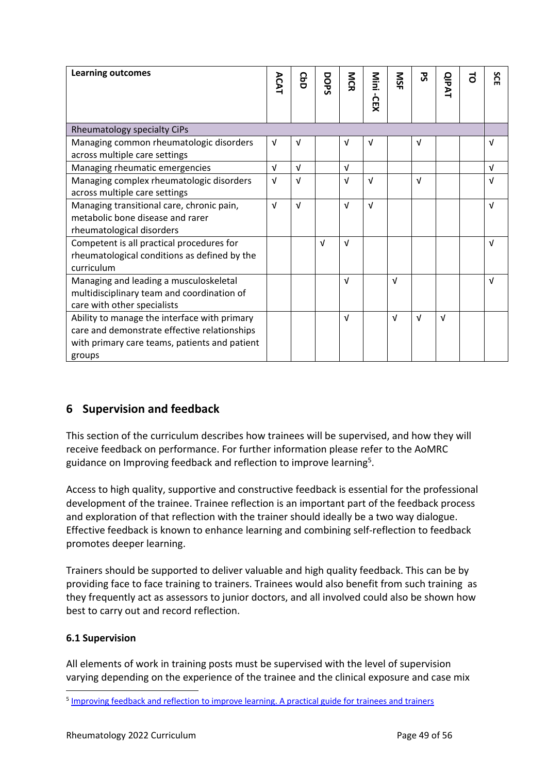| <b>Learning outcomes</b>                                                                                                                                | ACAT       | <b>GbD</b> | DOPS       | <b>NGR</b> | Nini<br>-CEX | SM         | ट्र        | <b>QIPAT</b> | ಕ | SCE        |
|---------------------------------------------------------------------------------------------------------------------------------------------------------|------------|------------|------------|------------|--------------|------------|------------|--------------|---|------------|
|                                                                                                                                                         |            |            |            |            |              |            |            |              |   |            |
| Rheumatology specialty CiPs                                                                                                                             |            |            |            |            |              |            |            |              |   |            |
| Managing common rheumatologic disorders<br>across multiple care settings                                                                                | $\sqrt{ }$ | $\sqrt{ }$ |            | v          | $\sqrt{ }$   |            | $\sqrt{ }$ |              |   | $\sqrt{ }$ |
| Managing rheumatic emergencies                                                                                                                          | $\sqrt{ }$ | $\sqrt{ }$ |            | $\sqrt{ }$ |              |            |            |              |   | $\sqrt{ }$ |
| Managing complex rheumatologic disorders<br>across multiple care settings                                                                               | $\sqrt{ }$ | $\sqrt{ }$ |            | $\sqrt{ }$ | $\sqrt{ }$   |            | $\sqrt{ }$ |              |   | $\sqrt{ }$ |
| Managing transitional care, chronic pain,<br>metabolic bone disease and rarer<br>rheumatological disorders                                              | $\sqrt{ }$ | $\sqrt{ }$ |            | $\sqrt{ }$ | $\sqrt{ }$   |            |            |              |   | $\sqrt{ }$ |
| Competent is all practical procedures for<br>rheumatological conditions as defined by the<br>curriculum                                                 |            |            | $\sqrt{ }$ | $\sqrt{ }$ |              |            |            |              |   | $\sqrt{ }$ |
| Managing and leading a musculoskeletal<br>multidisciplinary team and coordination of<br>care with other specialists                                     |            |            |            | $\sqrt{ }$ |              | $\sqrt{ }$ |            |              |   | $\sqrt{ }$ |
| Ability to manage the interface with primary<br>care and demonstrate effective relationships<br>with primary care teams, patients and patient<br>groups |            |            |            | v          |              | $\sqrt{ }$ | $\sqrt{ }$ | $\sqrt{ }$   |   |            |

# <span id="page-48-0"></span>**6 Supervision and feedback**

This section of the curriculum describes how trainees will be supervised, and how they will receive feedback on performance. For further information please refer to the AoMRC guidance on Improving feedback and reflection to improve learning<sup>5</sup>.

Access to high quality, supportive and constructive feedback is essential for the professional development of the trainee. Trainee reflection is an important part of the feedback process and exploration of that reflection with the trainer should ideally be a two way dialogue. Effective feedback is known to enhance learning and combining self-reflection to feedback promotes deeper learning.

Trainers should be supported to deliver valuable and high quality feedback. This can be by providing face to face training to trainers. Trainees would also benefit from such training as they frequently act as assessors to junior doctors, and all involved could also be shown how best to carry out and record reflection.

## <span id="page-48-1"></span>**6.1 Supervision**

All elements of work in training posts must be supervised with the level of supervision varying depending on the experience of the trainee and the clinical exposure and case mix

<sup>&</sup>lt;sup>5</sup> [Improving feedback and reflection to improve learning. A practical guide for trainees and trainers](http://www.aomrc.org.uk/publications/reports-guidance/improving-feedback-reflection-improve-learning-practical-guide-trainees-trainers/)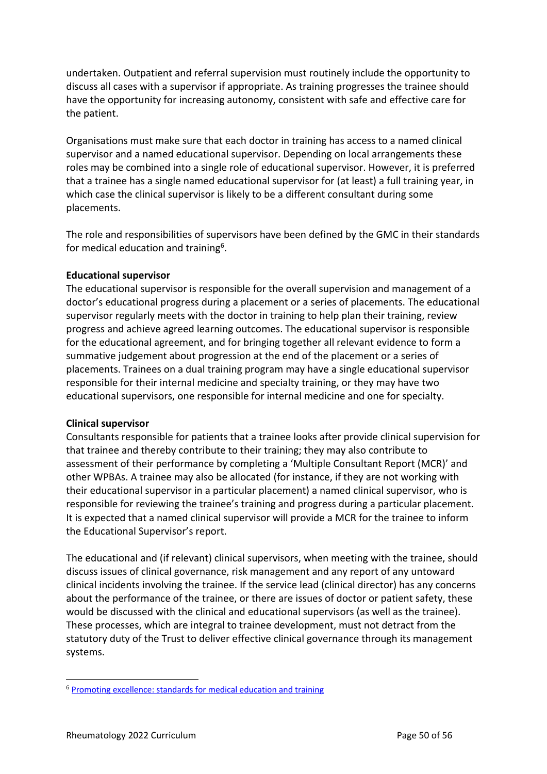undertaken. Outpatient and referral supervision must routinely include the opportunity to discuss all cases with a supervisor if appropriate. As training progresses the trainee should have the opportunity for increasing autonomy, consistent with safe and effective care for the patient.

Organisations must make sure that each doctor in training has access to a named clinical supervisor and a named educational supervisor. Depending on local arrangements these roles may be combined into a single role of educational supervisor. However, it is preferred that a trainee has a single named educational supervisor for (at least) a full training year, in which case the clinical supervisor is likely to be a different consultant during some placements.

The role and responsibilities of supervisors have been defined by the GMC in their standards for medical education and training<sup>6</sup>.

#### **Educational supervisor**

The educational supervisor is responsible for the overall supervision and management of a doctor's educational progress during a placement or a series of placements. The educational supervisor regularly meets with the doctor in training to help plan their training, review progress and achieve agreed learning outcomes. The educational supervisor is responsible for the educational agreement, and for bringing together all relevant evidence to form a summative judgement about progression at the end of the placement or a series of placements. Trainees on a dual training program may have a single educational supervisor responsible for their internal medicine and specialty training, or they may have two educational supervisors, one responsible for internal medicine and one for specialty.

#### **Clinical supervisor**

Consultants responsible for patients that a trainee looks after provide clinical supervision for that trainee and thereby contribute to their training; they may also contribute to assessment of their performance by completing a 'Multiple Consultant Report (MCR)' and other WPBAs. A trainee may also be allocated (for instance, if they are not working with their educational supervisor in a particular placement) a named clinical supervisor, who is responsible for reviewing the trainee's training and progress during a particular placement. It is expected that a named clinical supervisor will provide a MCR for the trainee to inform the Educational Supervisor's report.

The educational and (if relevant) clinical supervisors, when meeting with the trainee, should discuss issues of clinical governance, risk management and any report of any untoward clinical incidents involving the trainee. If the service lead (clinical director) has any concerns about the performance of the trainee, or there are issues of doctor or patient safety, these would be discussed with the clinical and educational supervisors (as well as the trainee). These processes, which are integral to trainee development, must not detract from the statutory duty of the Trust to deliver effective clinical governance through its management systems.

<sup>6</sup> [Promoting excellence: standards for medical education and training](http://www.gmc-uk.org/education/standards.asp)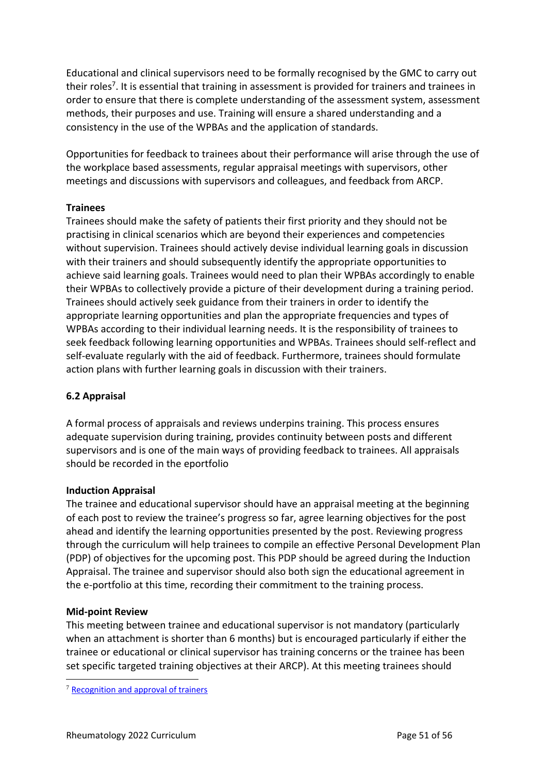Educational and clinical supervisors need to be formally recognised by the GMC to carry out their roles<sup>7</sup>. It is essential that training in assessment is provided for trainers and trainees in order to ensure that there is complete understanding of the assessment system, assessment methods, their purposes and use. Training will ensure a shared understanding and a consistency in the use of the WPBAs and the application of standards.

Opportunities for feedback to trainees about their performance will arise through the use of the workplace based assessments, regular appraisal meetings with supervisors, other meetings and discussions with supervisors and colleagues, and feedback from ARCP.

## **Trainees**

Trainees should make the safety of patients their first priority and they should not be practising in clinical scenarios which are beyond their experiences and competencies without supervision. Trainees should actively devise individual learning goals in discussion with their trainers and should subsequently identify the appropriate opportunities to achieve said learning goals. Trainees would need to plan their WPBAs accordingly to enable their WPBAs to collectively provide a picture of their development during a training period. Trainees should actively seek guidance from their trainers in order to identify the appropriate learning opportunities and plan the appropriate frequencies and types of WPBAs according to their individual learning needs. It is the responsibility of trainees to seek feedback following learning opportunities and WPBAs. Trainees should self-reflect and self-evaluate regularly with the aid of feedback. Furthermore, trainees should formulate action plans with further learning goals in discussion with their trainers.

## <span id="page-50-0"></span>**6.2 Appraisal**

A formal process of appraisals and reviews underpins training. This process ensures adequate supervision during training, provides continuity between posts and different supervisors and is one of the main ways of providing feedback to trainees. All appraisals should be recorded in the eportfolio

#### **Induction Appraisal**

The trainee and educational supervisor should have an appraisal meeting at the beginning of each post to review the trainee's progress so far, agree learning objectives for the post ahead and identify the learning opportunities presented by the post. Reviewing progress through the curriculum will help trainees to compile an effective Personal Development Plan (PDP) of objectives for the upcoming post. This PDP should be agreed during the Induction Appraisal. The trainee and supervisor should also both sign the educational agreement in the e-portfolio at this time, recording their commitment to the training process.

#### **Mid-point Review**

This meeting between trainee and educational supervisor is not mandatory (particularly when an attachment is shorter than 6 months) but is encouraged particularly if either the trainee or educational or clinical supervisor has training concerns or the trainee has been set specific targeted training objectives at their ARCP). At this meeting trainees should

<sup>7</sup> [Recognition and approval of trainers](http://www.gmc-uk.org/education/10264.asp)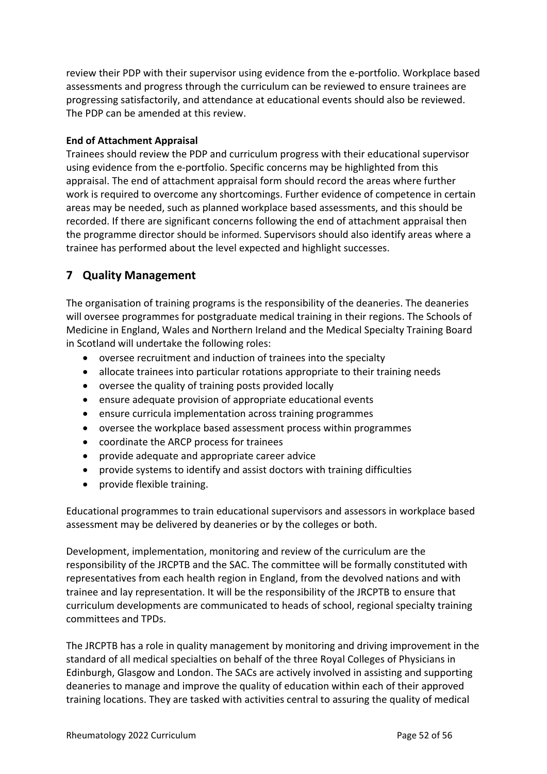review their PDP with their supervisor using evidence from the e-portfolio. Workplace based assessments and progress through the curriculum can be reviewed to ensure trainees are progressing satisfactorily, and attendance at educational events should also be reviewed. The PDP can be amended at this review.

## **End of Attachment Appraisal**

Trainees should review the PDP and curriculum progress with their educational supervisor using evidence from the e-portfolio. Specific concerns may be highlighted from this appraisal. The end of attachment appraisal form should record the areas where further work is required to overcome any shortcomings. Further evidence of competence in certain areas may be needed, such as planned workplace based assessments, and this should be recorded. If there are significant concerns following the end of attachment appraisal then the programme director should be informed. Supervisors should also identify areas where a trainee has performed about the level expected and highlight successes.

# <span id="page-51-0"></span>**7 Quality Management**

The organisation of training programs is the responsibility of the deaneries. The deaneries will oversee programmes for postgraduate medical training in their regions. The Schools of Medicine in England, Wales and Northern Ireland and the Medical Specialty Training Board in Scotland will undertake the following roles:

- oversee recruitment and induction of trainees into the specialty
- allocate trainees into particular rotations appropriate to their training needs
- oversee the quality of training posts provided locally
- ensure adequate provision of appropriate educational events
- ensure curricula implementation across training programmes
- oversee the workplace based assessment process within programmes
- coordinate the ARCP process for trainees
- provide adequate and appropriate career advice
- provide systems to identify and assist doctors with training difficulties
- provide flexible training.

Educational programmes to train educational supervisors and assessors in workplace based assessment may be delivered by deaneries or by the colleges or both.

Development, implementation, monitoring and review of the curriculum are the responsibility of the JRCPTB and the SAC. The committee will be formally constituted with representatives from each health region in England, from the devolved nations and with trainee and lay representation. It will be the responsibility of the JRCPTB to ensure that curriculum developments are communicated to heads of school, regional specialty training committees and TPDs.

The JRCPTB has a role in quality management by monitoring and driving improvement in the standard of all medical specialties on behalf of the three Royal Colleges of Physicians in Edinburgh, Glasgow and London. The SACs are actively involved in assisting and supporting deaneries to manage and improve the quality of education within each of their approved training locations. They are tasked with activities central to assuring the quality of medical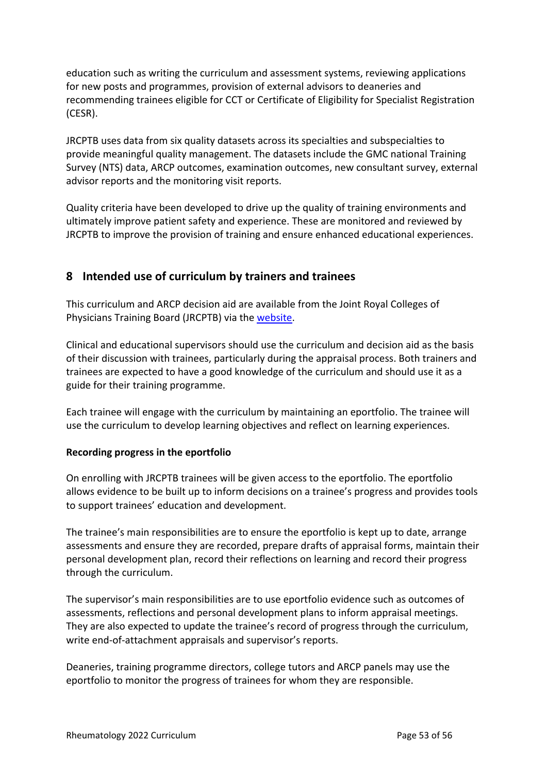education such as writing the curriculum and assessment systems, reviewing applications for new posts and programmes, provision of external advisors to deaneries and recommending trainees eligible for CCT or Certificate of Eligibility for Specialist Registration (CESR).

JRCPTB uses data from six quality datasets across its specialties and subspecialties to provide meaningful quality management. The datasets include the GMC national Training Survey (NTS) data, ARCP outcomes, examination outcomes, new consultant survey, external advisor reports and the monitoring visit reports.

Quality criteria have been developed to drive up the quality of training environments and ultimately improve patient safety and experience. These are monitored and reviewed by JRCPTB to improve the provision of training and ensure enhanced educational experiences.

# <span id="page-52-0"></span>**8 Intended use of curriculum by trainers and trainees**

This curriculum and ARCP decision aid are available from the Joint Royal Colleges of Physicians Training Board (JRCPTB) via th[e website.](http://www.jrcptb.org.uk/)

Clinical and educational supervisors should use the curriculum and decision aid as the basis of their discussion with trainees, particularly during the appraisal process. Both trainers and trainees are expected to have a good knowledge of the curriculum and should use it as a guide for their training programme.

Each trainee will engage with the curriculum by maintaining an eportfolio. The trainee will use the curriculum to develop learning objectives and reflect on learning experiences.

## **Recording progress in the eportfolio**

On enrolling with JRCPTB trainees will be given access to the eportfolio. The eportfolio allows evidence to be built up to inform decisions on a trainee's progress and provides tools to support trainees' education and development.

The trainee's main responsibilities are to ensure the eportfolio is kept up to date, arrange assessments and ensure they are recorded, prepare drafts of appraisal forms, maintain their personal development plan, record their reflections on learning and record their progress through the curriculum.

The supervisor's main responsibilities are to use eportfolio evidence such as outcomes of assessments, reflections and personal development plans to inform appraisal meetings. They are also expected to update the trainee's record of progress through the curriculum, write end-of-attachment appraisals and supervisor's reports.

Deaneries, training programme directors, college tutors and ARCP panels may use the eportfolio to monitor the progress of trainees for whom they are responsible.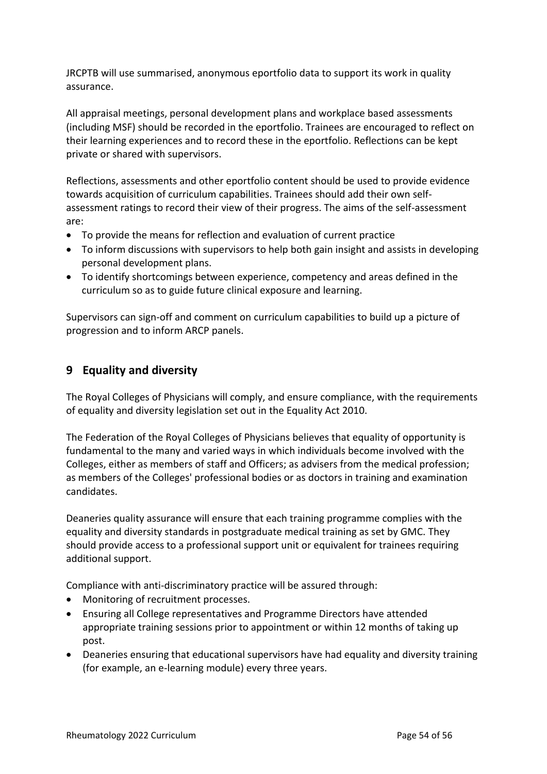JRCPTB will use summarised, anonymous eportfolio data to support its work in quality assurance.

All appraisal meetings, personal development plans and workplace based assessments (including MSF) should be recorded in the eportfolio. Trainees are encouraged to reflect on their learning experiences and to record these in the eportfolio. Reflections can be kept private or shared with supervisors.

Reflections, assessments and other eportfolio content should be used to provide evidence towards acquisition of curriculum capabilities. Trainees should add their own selfassessment ratings to record their view of their progress. The aims of the self-assessment are:

- To provide the means for reflection and evaluation of current practice
- To inform discussions with supervisors to help both gain insight and assists in developing personal development plans.
- To identify shortcomings between experience, competency and areas defined in the curriculum so as to guide future clinical exposure and learning.

Supervisors can sign-off and comment on curriculum capabilities to build up a picture of progression and to inform ARCP panels.

# <span id="page-53-0"></span>**9 Equality and diversity**

The Royal Colleges of Physicians will comply, and ensure compliance, with the requirements of equality and diversity legislation set out in the Equality Act 2010.

The Federation of the Royal Colleges of Physicians believes that equality of opportunity is fundamental to the many and varied ways in which individuals become involved with the Colleges, either as members of staff and Officers; as advisers from the medical profession; as members of the Colleges' professional bodies or as doctors in training and examination candidates.

Deaneries quality assurance will ensure that each training programme complies with the equality and diversity standards in postgraduate medical training as set by GMC. They should provide access to a professional support unit or equivalent for trainees requiring additional support.

Compliance with anti-discriminatory practice will be assured through:

- Monitoring of recruitment processes.
- Ensuring all College representatives and Programme Directors have attended appropriate training sessions prior to appointment or within 12 months of taking up post.
- Deaneries ensuring that educational supervisors have had equality and diversity training (for example, an e-learning module) every three years.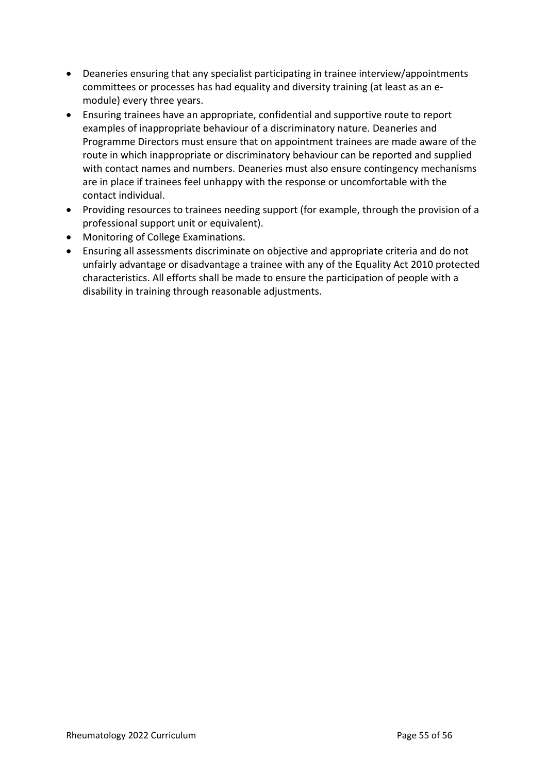- Deaneries ensuring that any specialist participating in trainee interview/appointments committees or processes has had equality and diversity training (at least as an emodule) every three years.
- Ensuring trainees have an appropriate, confidential and supportive route to report examples of inappropriate behaviour of a discriminatory nature. Deaneries and Programme Directors must ensure that on appointment trainees are made aware of the route in which inappropriate or discriminatory behaviour can be reported and supplied with contact names and numbers. Deaneries must also ensure contingency mechanisms are in place if trainees feel unhappy with the response or uncomfortable with the contact individual.
- Providing resources to trainees needing support (for example, through the provision of a professional support unit or equivalent).
- Monitoring of College Examinations.
- Ensuring all assessments discriminate on objective and appropriate criteria and do not unfairly advantage or disadvantage a trainee with any of the Equality Act 2010 protected characteristics. All efforts shall be made to ensure the participation of people with a disability in training through reasonable adjustments.